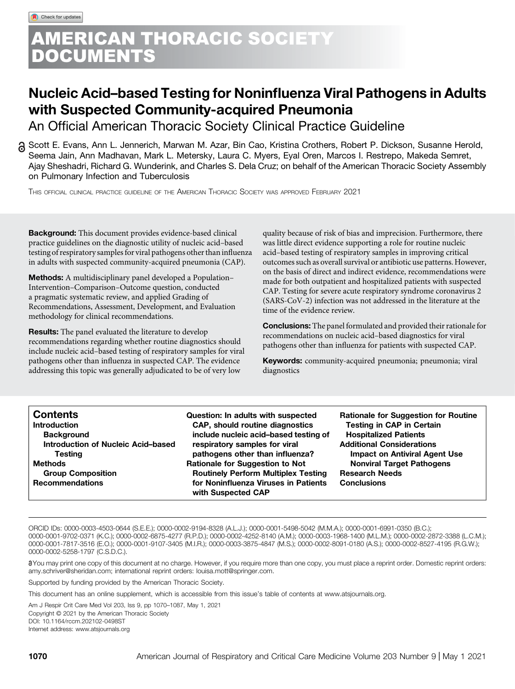# **ERICAN THORACIC SOCIETY** DOCUMENTS

# Nucleic Acid–based Testing for Noninfluenza Viral Pathogens in Adults with Suspected Community-acquired Pneumonia

An Official American Thoracic Society Clinical Practice Guideline

Scott E. Evans, Ann L. Jennerich, Marwan M. Azar, Bin Cao, Kristina Crothers, Robert P. Dickson, Susanne Herold, Seema Jain, Ann Madhavan, Mark L. Metersky, Laura C. Myers, Eyal Oren, Marcos I. Restrepo, Makeda Semret, Ajay Sheshadri, Richard G. Wunderink, and Charles S. Dela Cruz; on behalf of the American Thoracic Society Assembly on Pulmonary Infection and Tuberculosis

THIS OFFICIAL CLINICAL PRACTICE GUIDELINE OF THE AMERICAN THORACIC SOCIETY WAS APPROVED FEBRUARY 2021

Background: This document provides evidence-based clinical practice guidelines on the diagnostic utility of nucleic acid–based testing of respiratory samples for viral pathogens other than influenza in adults with suspected community-acquired pneumonia (CAP).

Methods: A multidisciplinary panel developed a Population– Intervention–Comparison–Outcome question, conducted a pragmatic systematic review, and applied Grading of Recommendations, Assessment, Development, and Evaluation methodology for clinical recommendations.

Results: The panel evaluated the literature to develop recommendations regarding whether routine diagnostics should include nucleic acid–based testing of respiratory samples for viral pathogens other than influenza in suspected CAP. The evidence addressing this topic was generally adjudicated to be of very low

quality because of risk of bias and imprecision. Furthermore, there was little direct evidence supporting a role for routine nucleic acid–based testing of respiratory samples in improving critical outcomes such as overall survival or antibiotic use patterns. However, on the basis of direct and indirect evidence, recommendations were made for both outpatient and hospitalized patients with suspected CAP. Testing for severe acute respiratory syndrome coronavirus 2 (SARS-CoV-2) infection was not addressed in the literature at the time of the evidence review.

Conclusions: The panel formulated and provided their rationale for recommendations on nucleic acid–based diagnostics for viral pathogens other than influenza for patients with suspected CAP.

Keywords: community-acquired pneumonia; pneumonia; viral diagnostics

| <b>Contents</b>                    | Question: In adults with suspected                         | <b>Rationale for Suggestion for Routine</b> |
|------------------------------------|------------------------------------------------------------|---------------------------------------------|
| <b>Introduction</b>                | <b>CAP, should routine diagnostics</b>                     | <b>Testing in CAP in Certain</b>            |
| <b>Background</b>                  | include nucleic acid-based testing of                      | <b>Hospitalized Patients</b>                |
| Introduction of Nucleic Acid-based | respiratory samples for viral                              | <b>Additional Considerations</b>            |
| <b>Testing</b>                     | pathogens other than influenza?                            | <b>Impact on Antiviral Agent Use</b>        |
| <b>Methods</b>                     | <b>Rationale for Suggestion to Not</b>                     | <b>Nonviral Target Pathogens</b>            |
| <b>Group Composition</b>           | <b>Routinely Perform Multiplex Testing</b>                 | <b>Research Needs</b>                       |
| <b>Recommendations</b>             | for Noninfluenza Viruses in Patients<br>with Suspected CAP | <b>Conclusions</b>                          |

ORCID IDs: [0000-0003-4503-0644](http://orcid.org/0000-0003-4503-0644) (S.E.E.); [0000-0002-9194-8328](http://orcid.org/0000-0002-9194-8328) (A.L.J.); [0000-0001-5498-5042](http://orcid.org/0000-0001-5498-5042) (M.M.A.); [0000-0001-6991-0350](http://orcid.org/0000-0001-6991-0350) (B.C.); [0000-0001-9702-0371](http://orcid.org/0000-0001-9702-0371) (K.C.); [0000-0002-6875-4277](http://orcid.org/0000-0002-6875-4277) (R.P.D.); [0000-0002-4252-8140](http://orcid.org/0000-0002-4252-8140) (A.M.); [0000-0003-1968-1400](http://orcid.org/0000-0003-1968-1400) (M.L.M.); [0000-0002-2872-3388](http://orcid.org/0000-0002-2872-3388) (L.C.M.); [0000-0001-7817-3516](http://orcid.org/0000-0001-7817-3516) (E.O.); [0000-0001-9107-3405](http://orcid.org/0000-0001-9107-3405) (M.I.R.); [0000-0003-3875-4847](http://orcid.org/0000-0003-3875-4847) (M.S.); [0000-0002-8091-0180](http://orcid.org/0000-0002-8091-0180) (A.S.); [0000-0002-8527-4195](http://orcid.org/0000-0002-8527-4195) (R.G.W.);

[0000-0002-5258-1797](http://orcid.org/0000-0002-5258-1797) (C.S.D.C.).

8You may print one copy of this document at no charge. However, if you require more than one copy, you must place a reprint order. Domestic reprint orders: [amy.schriver@sheridan.com;](mailto:amy.schriver@sheridan.com) international reprint orders: [louisa.mott@springer.com.](mailto:louisa.mott@springer.com)

Supported by funding provided by the American Thoracic Society.

This document has an online supplement, which is accessible from this issue's table of contents at [www.atsjournals.org.](http://www.atsjournals.org/)

Am J Respir Crit Care Med Vol 203, Iss 9, pp 1070–1087, May 1, 2021 Copyright © 2021 by the American Thoracic Society DOI: [10.1164/rccm.202102-0498ST](http://dx.doi.org/10.1164/rccm.202102-0498ST) Internet address: [www.atsjournals.org](http://www.atsjournals.org)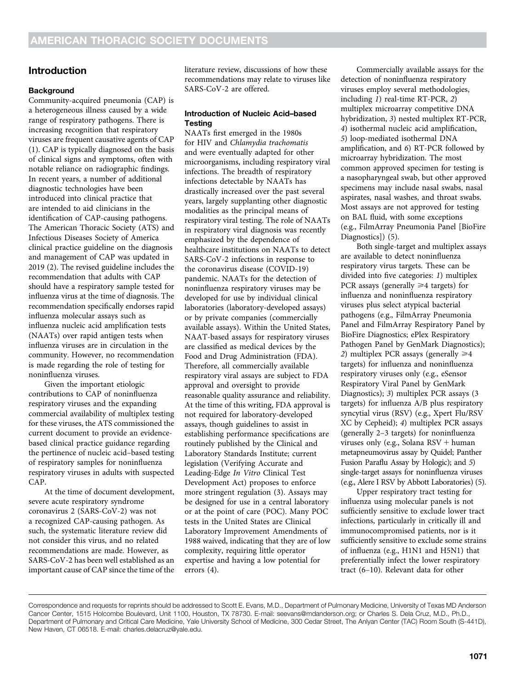# Introduction

## **Background**

Community-acquired pneumonia (CAP) is a heterogeneous illness caused by a wide range of respiratory pathogens. There is increasing recognition that respiratory viruses are frequent causative agents of CAP (1). CAP is typically diagnosed on the basis of clinical signs and symptoms, often with notable reliance on radiographic findings. In recent years, a number of additional diagnostic technologies have been introduced into clinical practice that are intended to aid clinicians in the identification of CAP-causing pathogens. The American Thoracic Society (ATS) and Infectious Diseases Society of America clinical practice guideline on the diagnosis and management of CAP was updated in 2019 (2). The revised guideline includes the recommendation that adults with CAP should have a respiratory sample tested for influenza virus at the time of diagnosis. The recommendation specifically endorses rapid influenza molecular assays such as influenza nucleic acid amplification tests (NAATs) over rapid antigen tests when influenza viruses are in circulation in the community. However, no recommendation is made regarding the role of testing for noninfluenza viruses.

Given the important etiologic contributions to CAP of noninfluenza respiratory viruses and the expanding commercial availability of multiplex testing for these viruses, the ATS commissioned the current document to provide an evidencebased clinical practice guidance regarding the pertinence of nucleic acid–based testing of respiratory samples for noninfluenza respiratory viruses in adults with suspected CAP.

At the time of document development, severe acute respiratory syndrome coronavirus 2 (SARS-CoV-2) was not a recognized CAP-causing pathogen. As such, the systematic literature review did not consider this virus, and no related recommendations are made. However, as SARS-CoV-2 has been well established as an important cause of CAP since the time of the literature review, discussions of how these recommendations may relate to viruses like SARS-CoV-2 are offered.

## Introduction of Nucleic Acid–based **Testing**

NAATs first emerged in the 1980s for HIV and Chlamydia trachomatis and were eventually adapted for other microorganisms, including respiratory viral infections. The breadth of respiratory infections detectable by NAATs has drastically increased over the past several years, largely supplanting other diagnostic modalities as the principal means of respiratory viral testing. The role of NAATs in respiratory viral diagnosis was recently emphasized by the dependence of healthcare institutions on NAATs to detect SARS-CoV-2 infections in response to the coronavirus disease (COVID-19) pandemic. NAATs for the detection of noninfluenza respiratory viruses may be developed for use by individual clinical laboratories (laboratory-developed assays) or by private companies (commercially available assays). Within the United States, NAAT-based assays for respiratory viruses are classified as medical devices by the Food and Drug Administration (FDA). Therefore, all commercially available respiratory viral assays are subject to FDA approval and oversight to provide reasonable quality assurance and reliability. At the time of this writing, FDA approval is not required for laboratory-developed assays, though guidelines to assist in establishing performance specifications are routinely published by the Clinical and Laboratory Standards Institute; current legislation (Verifying Accurate and Leading-Edge In Vitro Clinical Test Development Act) proposes to enforce more stringent regulation (3). Assays may be designed for use in a central laboratory or at the point of care (POC). Many POC tests in the United States are Clinical Laboratory Improvement Amendments of 1988 waived, indicating that they are of low complexity, requiring little operator expertise and having a low potential for errors (4).

Commercially available assays for the detection of noninfluenza respiratory viruses employ several methodologies, including 1) real-time RT-PCR, 2) multiplex microarray competitive DNA hybridization, 3) nested multiplex RT-PCR, 4) isothermal nucleic acid amplification, 5) loop-mediated isothermal DNA amplification, and 6) RT-PCR followed by microarray hybridization. The most common approved specimen for testing is a nasopharyngeal swab, but other approved specimens may include nasal swabs, nasal aspirates, nasal washes, and throat swabs. Most assays are not approved for testing on BAL fluid, with some exceptions (e.g., FilmArray Pneumonia Panel [BioFire Diagnostics]) (5).

Both single-target and multiplex assays are available to detect noninfluenza respiratory virus targets. These can be divided into five categories: 1) multiplex PCR assays (generally  $\geq 4$  targets) for influenza and noninfluenza respiratory viruses plus select atypical bacterial pathogens (e.g., FilmArray Pneumonia Panel and FilmArray Respiratory Panel by BioFire Diagnostics; ePlex Respiratory Pathogen Panel by GenMark Diagnostics); 2) multiplex PCR assays (generally  $\geq 4$ targets) for influenza and noninfluenza respiratory viruses only (e.g., eSensor Respiratory Viral Panel by GenMark Diagnostics); 3) multiplex PCR assays (3 targets) for influenza A/B plus respiratory syncytial virus (RSV) (e.g., Xpert Flu/RSV XC by Cepheid); 4) multiplex PCR assays (generally 2–3 targets) for noninfluenza viruses only (e.g., Solana  $RSV + human$ metapneumovirus assay by Quidel; Panther Fusion Paraflu Assay by Hologic); and 5) single-target assays for noninfluenza viruses (e.g., Alere I RSV by Abbott Laboratories) (5).

Upper respiratory tract testing for influenza using molecular panels is not sufficiently sensitive to exclude lower tract infections, particularly in critically ill and immunocompromised patients, nor is it sufficiently sensitive to exclude some strains of influenza (e.g., H1N1 and H5N1) that preferentially infect the lower respiratory tract (6–10). Relevant data for other

Correspondence and requests for reprints should be addressed to Scott E. Evans, M.D., Department of Pulmonary Medicine, University of Texas MD Anderson Cancer Center, 1515 Holcombe Boulevard, Unit 1100, Houston, TX 78730. E-mail: [seevans@mdanderson.org](mailto:seevans@mdanderson.org); or Charles S. Dela Cruz, M.D., Ph.D., Department of Pulmonary and Critical Care Medicine, Yale University School of Medicine, 300 Cedar Street, The Anlyan Center (TAC) Room South (S-441D), New Haven, CT 06518. E-mail: [charles.delacruz@yale.edu](mailto:charles.delacruz@yale.edu).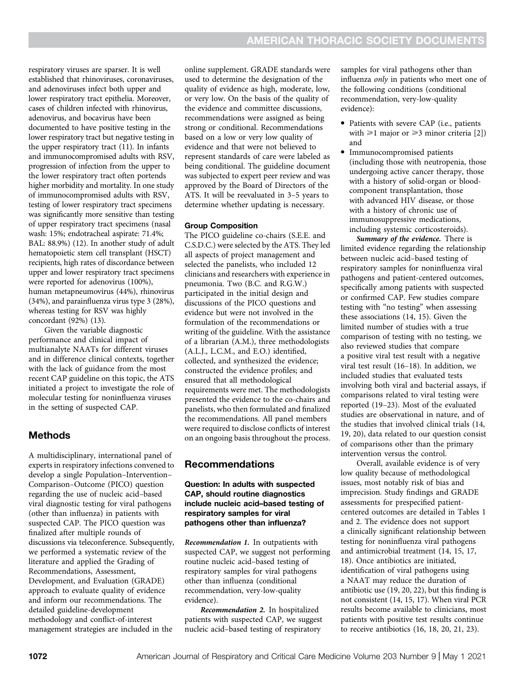respiratory viruses are sparser. It is well established that rhinoviruses, coronaviruses, and adenoviruses infect both upper and lower respiratory tract epithelia. Moreover, cases of children infected with rhinovirus, adenovirus, and bocavirus have been documented to have positive testing in the lower respiratory tract but negative testing in the upper respiratory tract (11). In infants and immunocompromised adults with RSV, progression of infection from the upper to the lower respiratory tract often portends higher morbidity and mortality. In one study of immunocompromised adults with RSV, testing of lower respiratory tract specimens was significantly more sensitive than testing of upper respiratory tract specimens (nasal wash: 15%; endotracheal aspirate: 71.4%; BAL: 88.9%) (12). In another study of adult hematopoietic stem cell transplant (HSCT) recipients, high rates of discordance between upper and lower respiratory tract specimens were reported for adenovirus (100%), human metapneumovirus (44%), rhinovirus (34%), and parainfluenza virus type 3 (28%), whereas testing for RSV was highly concordant (92%) (13).

Given the variable diagnostic performance and clinical impact of multianalyte NAATs for different viruses and in difference clinical contexts, together with the lack of guidance from the most recent CAP guideline on this topic, the ATS initiated a project to investigate the role of molecular testing for noninfluenza viruses in the setting of suspected CAP.

# Methods

A multidisciplinary, international panel of experts in respiratory infections convened to develop a single Population–Intervention– Comparison–Outcome (PICO) question regarding the use of nucleic acid–based viral diagnostic testing for viral pathogens (other than influenza) in patients with suspected CAP. The PICO question was finalized after multiple rounds of discussions via teleconference. Subsequently, we performed a systematic review of the literature and applied the Grading of Recommendations, Assessment, Development, and Evaluation (GRADE) approach to evaluate quality of evidence and inform our recommendations. The detailed guideline-development methodology and conflict-of-interest management strategies are included in the

online supplement. GRADE standards were used to determine the designation of the quality of evidence as high, moderate, low, or very low. On the basis of the quality of the evidence and committee discussions, recommendations were assigned as being strong or conditional. Recommendations based on a low or very low quality of evidence and that were not believed to represent standards of care were labeled as being conditional. The guideline document was subjected to expert peer review and was approved by the Board of Directors of the ATS. It will be reevaluated in 3–5 years to determine whether updating is necessary.

## Group Composition

The PICO guideline co-chairs (S.E.E. and C.S.D.C.) were selected by the ATS. They led all aspects of project management and selected the panelists, who included 12 clinicians and researchers with experience in pneumonia. Two (B.C. and R.G.W.) participated in the initial design and discussions of the PICO questions and evidence but were not involved in the formulation of the recommendations or writing of the guideline. With the assistance of a librarian (A.M.), three methodologists (A.L.J., L.C.M., and E.O.) identified, collected, and synthesized the evidence; constructed the evidence profiles; and ensured that all methodological requirements were met. The methodologists presented the evidence to the co-chairs and panelists, who then formulated and finalized the recommendations. All panel members were required to disclose conflicts of interest on an ongoing basis throughout the process.

# Recommendations

## Question: In adults with suspected CAP, should routine diagnostics include nucleic acid–based testing of respiratory samples for viral pathogens other than influenza?

Recommendation 1. In outpatients with suspected CAP, we suggest not performing routine nucleic acid–based testing of respiratory samples for viral pathogens other than influenza (conditional recommendation, very-low-quality evidence).

Recommendation 2. In hospitalized patients with suspected CAP, we suggest nucleic acid–based testing of respiratory

samples for viral pathogens other than influenza only in patients who meet one of the following conditions (conditional recommendation, very-low-quality evidence):

- Patients with severe CAP (i.e., patients with  $\geq 1$  major or  $\geq 3$  minor criteria [2]) and
- Immunocompromised patients (including those with neutropenia, those undergoing active cancer therapy, those with a history of solid-organ or bloodcomponent transplantation, those with advanced HIV disease, or those with a history of chronic use of immunosuppressive medications, including systemic corticosteroids).

Summary of the evidence. There is limited evidence regarding the relationship between nucleic acid–based testing of respiratory samples for noninfluenza viral pathogens and patient-centered outcomes, specifically among patients with suspected or confirmed CAP. Few studies compare testing with "no testing" when assessing these associations (14, 15). Given the limited number of studies with a true comparison of testing with no testing, we also reviewed studies that compare a positive viral test result with a negative viral test result (16–18). In addition, we included studies that evaluated tests involving both viral and bacterial assays, if comparisons related to viral testing were reported (19–23). Most of the evaluated studies are observational in nature, and of the studies that involved clinical trials (14, 19, 20), data related to our question consist of comparisons other than the primary intervention versus the control.

Overall, available evidence is of very low quality because of methodological issues, most notably risk of bias and imprecision. Study findings and GRADE assessments for prespecified patientcentered outcomes are detailed in Tables 1 and 2. The evidence does not support a clinically significant relationship between testing for noninfluenza viral pathogens and antimicrobial treatment (14, 15, 17, 18). Once antibiotics are initiated, identification of viral pathogens using a NAAT may reduce the duration of antibiotic use (19, 20, 22), but this finding is not consistent (14, 15, 17). When viral PCR results become available to clinicians, most patients with positive test results continue to receive antibiotics (16, 18, 20, 21, 23).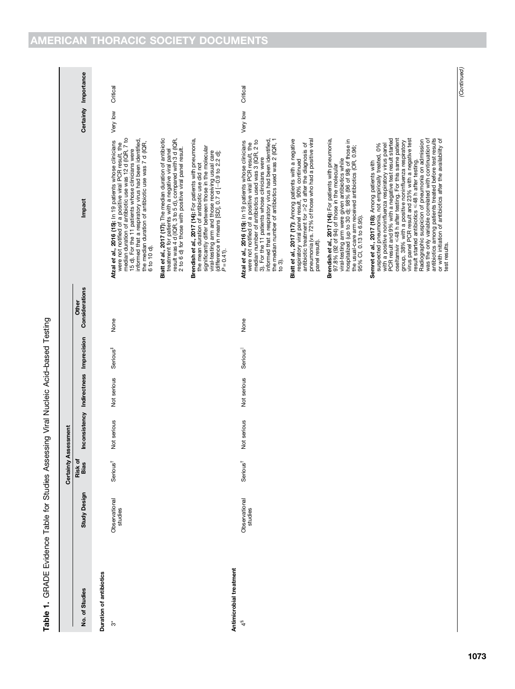Table 1. GRADE Evidence Table for Studies Assessing Viral Nucleic Acid-based Testing Table 1. GRADE Evidence Table for Studies Assessing Viral Nucleic Acid–based Testing

|                                          |                          | Certainty              | Assessment    |                          |                      |                         |                                                                                                                                                                                                                                                                                                                                                                                                                                                                                                                                                                                                                                                                                                           |          |                      |  |
|------------------------------------------|--------------------------|------------------------|---------------|--------------------------|----------------------|-------------------------|-----------------------------------------------------------------------------------------------------------------------------------------------------------------------------------------------------------------------------------------------------------------------------------------------------------------------------------------------------------------------------------------------------------------------------------------------------------------------------------------------------------------------------------------------------------------------------------------------------------------------------------------------------------------------------------------------------------|----------|----------------------|--|
| No. of Studies                           | <b>Study Design</b>      | Risk of<br><b>Bias</b> | Inconsistency | Indirectness Imprecision |                      | Considerations<br>Other | Impact                                                                                                                                                                                                                                                                                                                                                                                                                                                                                                                                                                                                                                                                                                    |          | Certainty Importance |  |
| Duration of antibiotics                  |                          |                        |               |                          |                      |                         |                                                                                                                                                                                                                                                                                                                                                                                                                                                                                                                                                                                                                                                                                                           |          |                      |  |
| ້ຕ                                       | Observational<br>studies | Serious                | Not serious   | Not serious              | Serious <sup>#</sup> | None                    | were not notified of a positive viral PCR result, the<br>median duration of antibiotic use was 12 d (IQR, 7 to<br>15 d). For the 11 patients whose clinicians were<br>informed that a respiratory virus had been identified,<br>Afzal et al., 2016 (15): In 19 patients whose clinicians<br>the median duration of antibiotic use was 7 d (IQR,<br>6 to 10 d)                                                                                                                                                                                                                                                                                                                                             | Very low | Critical             |  |
|                                          |                          |                        |               |                          |                      |                         | treatment for patients with a negative viral panel<br>result was 4 d (IQR, 3 to 5 d), compared with 3 d (IQR,<br>2 to 6 d) for those with positive viral panel result.<br>Blatt et al., 2017 (17): The median duration of antibiotic                                                                                                                                                                                                                                                                                                                                                                                                                                                                      |          |                      |  |
|                                          |                          |                        |               |                          |                      |                         | Brendish et al., 2017 (14): For patients with pneumonia,<br>significantly differ between those in the molecular<br>viral-testing arm and those receiving usual care<br>(difference in means [SD], 0.7 d [-0.9 to 2.2 d];<br>$P = 0.4$ 1).<br>the mean duration of antibiotic use did not                                                                                                                                                                                                                                                                                                                                                                                                                  |          |                      |  |
| Antimicrobial treatment<br>$\frac{4}{3}$ | Observational<br>studies | <b>Serious</b>         | Not serious   | Not serious              | <b>Serious</b>       | None                    | 3). For the 11 patients whose clinicians were<br>informed that a respiratory virus had been identified,<br>the median number of antibiotics used was 2 (IQR, 1<br>Atzal et al., 2016 (15): In 19 patients whose clinicians<br>were not notified of a positive viral PCR result, the<br>median number of antibiotics used was 3 (IQR, 2 to                                                                                                                                                                                                                                                                                                                                                                 | Very low | Critical             |  |
|                                          |                          |                        |               |                          |                      |                         | pneumonia (vs. 72% of those who had a positive viral<br>Blatt et al., 2017 (17): Among patients with a negative<br>respiratory viral panel result, 90% continued<br>antibiotic treatment for >2 d after the diagnosis of<br>panel result).<br>to 3).                                                                                                                                                                                                                                                                                                                                                                                                                                                      |          |                      |  |
|                                          |                          |                        |               |                          |                      |                         | Brendish et al., 2017 (14): For patients with pneumonia,<br>viral-testing arm were given antibiotics while<br>hospitalized (up to 30 d); 98% (96 of 98) of those in<br>the usual-care arm received antibiotics (OR, 0.96;<br>97.8% (92 of 94) of those in the molecular<br>95% CI, 0.13 to 6.95).                                                                                                                                                                                                                                                                                                                                                                                                         |          |                      |  |
|                                          |                          |                        |               |                          |                      |                         | oseltamivir <48 h after testing. For this same patient<br>was the only variable correlated with continuation of<br>antibiotics among patients treated before test results<br>PCR result and 9% with a negative test result started<br>group, 38% with a positive noninfluenza respiratory<br>virus panel PCR result and 23% with a negative test<br>Radiographic suspicion of pneumonia on admission<br>or with initiation of antibiotics after the availability of<br>suspected pneumonia, not empirically treated, 0%<br>with a positive noninfluenza respiratory virus panel<br>result started antibiotics $\leq 48$ h after testing.<br>Semret et al., 2017 (18): Among patients with<br>test results |          |                      |  |
|                                          |                          |                        |               |                          |                      |                         |                                                                                                                                                                                                                                                                                                                                                                                                                                                                                                                                                                                                                                                                                                           |          |                      |  |

(Continued)

(Continued)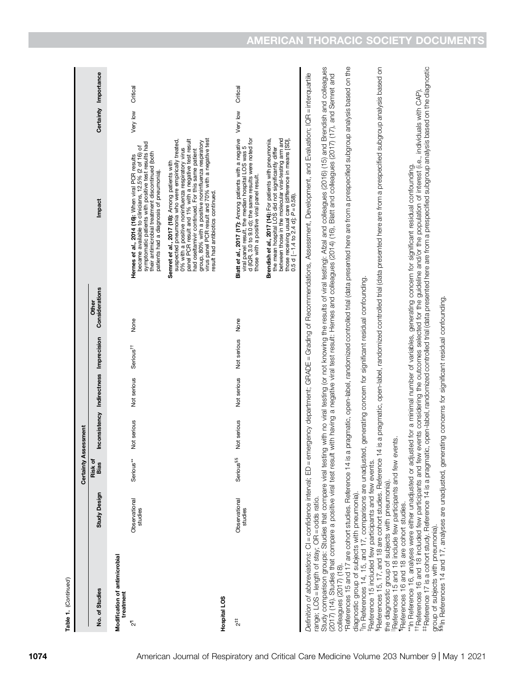| Not serious<br>Not serious<br>Assessment<br>Risk of<br>Serious**<br><b>Serious<sup>§§</sup></b><br>Certainty<br>Bias<br>Study Design<br>Observational<br>Observational<br>studies<br>studies<br>Modification of antimicrobial<br>No. of Studies<br>treatment<br>Hospital LOS<br>$\frac{4}{2}$<br>$\bar{c}$                                                                                                                                                                                                                                                                                                                                                                                                                                          |                                                               |                               |                                |                                                                                                                                                                                                                                                                                                                                                                                                                       |                      |          |
|-----------------------------------------------------------------------------------------------------------------------------------------------------------------------------------------------------------------------------------------------------------------------------------------------------------------------------------------------------------------------------------------------------------------------------------------------------------------------------------------------------------------------------------------------------------------------------------------------------------------------------------------------------------------------------------------------------------------------------------------------------|---------------------------------------------------------------|-------------------------------|--------------------------------|-----------------------------------------------------------------------------------------------------------------------------------------------------------------------------------------------------------------------------------------------------------------------------------------------------------------------------------------------------------------------------------------------------------------------|----------------------|----------|
|                                                                                                                                                                                                                                                                                                                                                                                                                                                                                                                                                                                                                                                                                                                                                     |                                                               |                               |                                |                                                                                                                                                                                                                                                                                                                                                                                                                       |                      |          |
|                                                                                                                                                                                                                                                                                                                                                                                                                                                                                                                                                                                                                                                                                                                                                     | Inconsistency Indirectness Imprecision                        |                               | Considerations<br><b>Other</b> | Impact                                                                                                                                                                                                                                                                                                                                                                                                                | Certainty Importance |          |
|                                                                                                                                                                                                                                                                                                                                                                                                                                                                                                                                                                                                                                                                                                                                                     |                                                               |                               |                                |                                                                                                                                                                                                                                                                                                                                                                                                                       |                      |          |
|                                                                                                                                                                                                                                                                                                                                                                                                                                                                                                                                                                                                                                                                                                                                                     | Not serious                                                   | None<br>Serious <sup>††</sup> |                                | symptomatic patients with positive test results had<br>৳<br>their antimicrobial treatment discontinued (both<br>Hernes et al., 2014 (16): When viral PCR results<br>became available to clinicians, 12.5% (2 of 16)<br>patients had a diagnosis of pneumonia).                                                                                                                                                        | Very low             | Critical |
|                                                                                                                                                                                                                                                                                                                                                                                                                                                                                                                                                                                                                                                                                                                                                     |                                                               |                               |                                | virus panel PCR result and 70% with a negative test<br>0% with a positive noninfluenza respiratory virus<br>panel PCR result and 1% with a negative test result<br>Semret et al., 2017 (18): Among patients with<br>suspected pneumonia who were empirically treated,<br>group, 80% with a positive noninfluenza respiratory<br>had oseltamivir continued. For this same patient<br>result had antibiotics continued. |                      |          |
|                                                                                                                                                                                                                                                                                                                                                                                                                                                                                                                                                                                                                                                                                                                                                     |                                                               |                               |                                |                                                                                                                                                                                                                                                                                                                                                                                                                       |                      |          |
|                                                                                                                                                                                                                                                                                                                                                                                                                                                                                                                                                                                                                                                                                                                                                     | Not serious                                                   | None<br>Not serious           |                                | Blatt et al., 2017 (17): Among patients with a negative<br>viral panel result, the median hospital LOS was 5<br>d (IQR, 3.0 to 9.0 d); the same results were noted for<br>those with a positive viral panel result.                                                                                                                                                                                                   | Very low             | Critical |
|                                                                                                                                                                                                                                                                                                                                                                                                                                                                                                                                                                                                                                                                                                                                                     |                                                               |                               |                                | Brendish et al., 2017 (14): For patients with pneumonia,<br>the mean hospital LOS did not significantly differ<br>between those in the molecular viral-testing arm and                                                                                                                                                                                                                                                |                      |          |
| Definition of abbreviations: Cl = confidence interval; ED = emergency department; GRADE = Grading of Recommendations, Assessment, Development, and Evaluation; IQR = interquartile<br>range; LOS = length of stay; OR = odds ratio.                                                                                                                                                                                                                                                                                                                                                                                                                                                                                                                 |                                                               |                               |                                |                                                                                                                                                                                                                                                                                                                                                                                                                       |                      |          |
| Study comparison groups: Studies that compare viral testing with no viral testing (or not knowing the results of viral testing): Afzal and colleagues (2016) (15) and Brendish and colleagues<br>(2017) (14). Studies that compare a positive viral test result with having a negative viral test result: Hernes and colleagues (2014) (16), Blatt and colleagues (2017) (17), and Semret and                                                                                                                                                                                                                                                                                                                                                       |                                                               |                               |                                |                                                                                                                                                                                                                                                                                                                                                                                                                       |                      |          |
| *References 15 and 17 are cohort studies. Reference 14 is<br>colleagues (2017) (18).                                                                                                                                                                                                                                                                                                                                                                                                                                                                                                                                                                                                                                                                |                                                               |                               |                                | a pragmatic, open-label, randomized controlled trial (data presented here are from a prespecified subgroup analysis based on the                                                                                                                                                                                                                                                                                      |                      |          |
| References 15 and 18 include few participants and few events<br><sup>t</sup> In References 14, 15, and 17, comparisons are unadjust<br>§References 15, 17, and 18 are cohort studies. Reference<br><sup>‡</sup> Reference 15 included few participants and few events.<br>the diagnostic group of subjects with pneumonia)<br>diagnostic group of subjects with pneumonia)                                                                                                                                                                                                                                                                                                                                                                          | ted, generating concern for significant residual confounding. |                               |                                | 14 is a pragmatic, open-label, randomized controlled trial (data presented here are from a prespecified subgroup analysis based on                                                                                                                                                                                                                                                                                    |                      |          |
| #Reference 17 is a cohort study. Reference 14 is a pragmatic, open-label, randomized controlled trial (data presented here are from a prespecified subgroup analysis based on the diagnostic<br>the ferences 16 and 18 included few participants and few events considering the outcomes selected for the guideline and/or the population of interest (i.e., individuals with CAP)<br>**In Reference 16, analyses were either unadjusted or adjusted for a minimal number of variables, generating concern for significant residual confounding.<br>group of subjects with pneumonia).<br>§§In References 14 and 17, analyses are unadjusted, generating concerns for significant residual confounding.<br>Teferences 16 and 18 are cohort studies. |                                                               |                               |                                |                                                                                                                                                                                                                                                                                                                                                                                                                       |                      |          |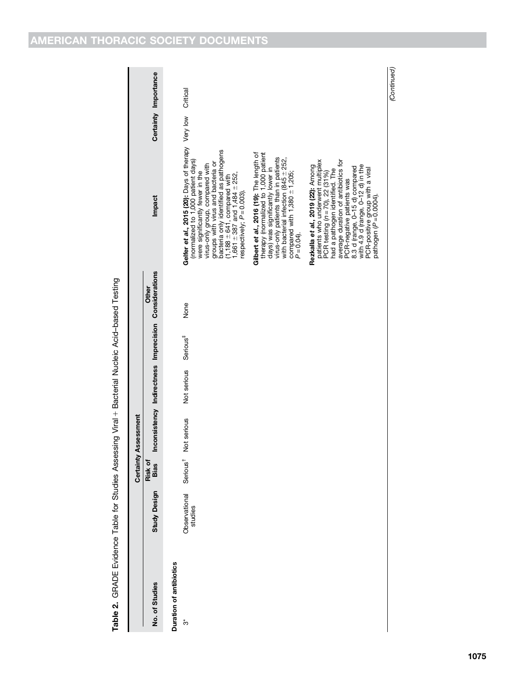| Table 2. GRADE Evidence Table for Studies Assessing Viral + Bacterial Nucleic Acid-based Testing |                                               |                       |                             |             |                      |                                                                |                                                                                                                                                                                                                                                                                                                                                         |                      |
|--------------------------------------------------------------------------------------------------|-----------------------------------------------|-----------------------|-----------------------------|-------------|----------------------|----------------------------------------------------------------|---------------------------------------------------------------------------------------------------------------------------------------------------------------------------------------------------------------------------------------------------------------------------------------------------------------------------------------------------------|----------------------|
|                                                                                                  |                                               |                       | <b>Certainty Assessment</b> |             |                      |                                                                |                                                                                                                                                                                                                                                                                                                                                         |                      |
| No. of Studies                                                                                   | <b>Study Design</b>                           | <b>Bias</b><br>Risk c |                             |             |                      | Inconsistency Indirectness Imprecision Considerations<br>Other | Impact                                                                                                                                                                                                                                                                                                                                                  | Certainty Importance |
| Duration of antibiotics                                                                          |                                               |                       |                             |             |                      |                                                                |                                                                                                                                                                                                                                                                                                                                                         |                      |
| ້ຕ                                                                                               | Observational Serious <sup>†</sup><br>studies |                       | Not serious                 | Not serious | Serious <sup>#</sup> | None                                                           | Gelfer et al., 2015 (20): Days of therapy Very low<br>bacteria only identified as pathogens<br>(normalized to 1,000 patient days)<br>groups with virus and bacteria or<br>virus-only group, compared with<br>were significantly fewer in the<br>(1,188 $\pm$ 641, compared with<br>1,661 $\pm$ 387 and 1,484 $\pm$ 252,<br>respectively; $P = 0.003$ ). | Critical             |

Gilbert et al., 2016 (19): The length of therapy (normalized to 1,000 patient days) was significantly lower in virus-only patients than in patients with bacterial infection (845  $\pm$  252, compared with  $1,380 \pm 1,205;$ 

 $P = 0.04$ .

Rezkalla et al., 2019 (22): Among patients who underwent multiplex PCR testing (n = 70), 22 (31%) had a pathogen identified. The average duration of antibiotics for PCR-negative patients was 8.3 d (range, 0–15 d) compared with 4.9 d (range, 0–12 d) in the PCR-positive group with a viral pathogen (P = 0.0004).

**Rezkalla et al., 2019 (22):** Among<br>patients who underwent multiplex<br>PCR testing ( $n = 70$ ), 22 (31%)<br>had a pathogen identified. The<br>swerage duration of antibiotics for<br>PCR-negative paths was<br>8.5 R-negative paths was<br>with

(Continued )

(Continued)

Table 2. GRADE Evidence Table for Studies Assessing Viral 1 Bacterial Nucleic Acid–based Testing Table 2. GRADI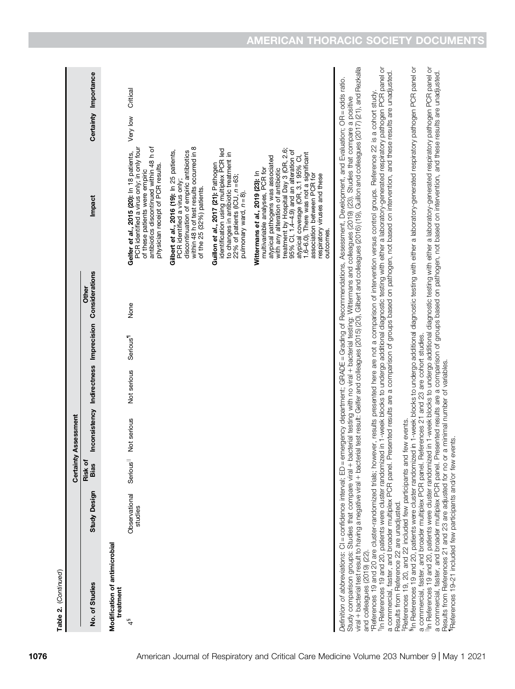| Table 2. (Continued)                                                                                                                                                                                                                                                                                 |                          |                        |                                        |             |                      |                         |                                                                                                                                                                                                                                                                                                                                                                                                                                                                                                                                                                                                                |          |                      |
|------------------------------------------------------------------------------------------------------------------------------------------------------------------------------------------------------------------------------------------------------------------------------------------------------|--------------------------|------------------------|----------------------------------------|-------------|----------------------|-------------------------|----------------------------------------------------------------------------------------------------------------------------------------------------------------------------------------------------------------------------------------------------------------------------------------------------------------------------------------------------------------------------------------------------------------------------------------------------------------------------------------------------------------------------------------------------------------------------------------------------------------|----------|----------------------|
|                                                                                                                                                                                                                                                                                                      |                          | Certainty              | Assessment                             |             |                      |                         |                                                                                                                                                                                                                                                                                                                                                                                                                                                                                                                                                                                                                |          |                      |
| No. of Studies                                                                                                                                                                                                                                                                                       | <b>Study Design</b>      | Risk of<br><b>Bias</b> | Inconsistency Indirectness Imprecision |             |                      | Considerations<br>Other | Impact                                                                                                                                                                                                                                                                                                                                                                                                                                                                                                                                                                                                         |          | Certainty Importance |
| Modification of antimicrobial<br>treatment                                                                                                                                                                                                                                                           |                          |                        |                                        |             |                      |                         |                                                                                                                                                                                                                                                                                                                                                                                                                                                                                                                                                                                                                |          |                      |
| $\frac{4}{3}$                                                                                                                                                                                                                                                                                        | Observational<br>studies | Serious <sup>  </sup>  | Not serious                            | Not serious | Serious <sup>1</sup> | None                    | antibiotics discontinued within 48 h of<br>PCR identified a virus only; in only four<br>Gelfer et al., 2015 (20): In 18 patients,<br>physician receipt of PCR results.<br>of these patients were empiric                                                                                                                                                                                                                                                                                                                                                                                                       | Very low | Critical             |
|                                                                                                                                                                                                                                                                                                      |                          |                        |                                        |             |                      |                         | within 48 h of test results occurred in 8<br>Gilbert et al., 2016 (19): In 25 patients,<br>discontinuation of empiric antibiotics<br>PCR identified a virus only;<br>of the 25 (32%) patients.                                                                                                                                                                                                                                                                                                                                                                                                                 |          |                      |
|                                                                                                                                                                                                                                                                                                      |                          |                        |                                        |             |                      |                         | identification using multiplex PCR led<br>to changes in antibiotic treatment in<br>Guillon et al., 2017 (21): Pathogen<br>22% of patients (ICU, $n = 63$ ;<br>pulmonary ward, n = 8).                                                                                                                                                                                                                                                                                                                                                                                                                          |          |                      |
|                                                                                                                                                                                                                                                                                                      |                          |                        |                                        |             |                      |                         | treatment by Hospital Day 3 (OR, 2.6;<br>95% Cl, 1.4-4.9) and an alteration of<br>1.6-6.0). There was not a significant<br>atypical coverage (OR, 3.1 95% CI,<br>atypical pathogens was associated<br>multivariable analyses, PCR for<br>with any alteration of antibiotic<br>Wittermans et al., 2019 (23): In<br>association between PCR for<br>respiratory viruses and these<br>outcomes                                                                                                                                                                                                                     |          |                      |
|                                                                                                                                                                                                                                                                                                      |                          |                        |                                        |             |                      |                         | viral + bacterial test result to having a negative viral + bacterial test result: Gelfer and colleagues (2015) (20), Gilbert and colleagues (2019), Guillon and colleagues (2017) (21), and Rezkalla<br>Definition of abbreviations: Cl = confidence interval; ED = emergency department; GRADE = Grading of Recommendations, Assessment, Development, and Evaluation; OR = odds ratio.<br>Study comparison groups: Studies that compare viral + bacterial testing with no viral + bacterial testing: Wittermans and colleagues (2019) (23). Studies that compare a positive                                   |          |                      |
| Results from Reference 22 are unadjusted.                                                                                                                                                                                                                                                            |                          |                        |                                        |             |                      |                         | <sup>t</sup> In References 19 and 20, patients were cluster randomized in 1-week blocks to undergo additional diagnostic testing with either a laboratory-generated respiratory pathogen PCR panel or<br>a commercial, faster, and broader multiplex PCR panel. Presented results are a comparison of groups based on pathogen, not based on intervention, and these results are unadjusted.<br>and colleagues (2019) (22).<br>*References 19 and 20 are cluster-randomized trials; however, results presented here are not a comparison of intervention versus control groups. Reference 22 is a cohort study |          |                      |
| a commercial, faster, and broader multiplex PCR panel. References 21 and 23 are cohort studies.<br>FReferences 19, 20, and 22 included few participants and few events.<br>References 19-21 included few participants and/or few events.<br>Results from References 21 and 23 are adjusted for no or |                          |                        | a minimal number of variables.         |             |                      |                         | <sup>Il</sup> ln References 19 and 20, patients were cluster randomized in 1-week blocks to undergo additional diagnostic testing with either a laboratory-generated respiratory pathogen PCR panel or<br>In References 19 and 20, patients were cluster randomized in 1-week blocks to undergo additional diagnostic testing with either a laboratory-generated respiratory pathogen PCR panel or<br>a commercial, faster, and broader multiplex PCR panel. Presented results are a comparison of groups based on pathogen, not based on intervention, and these results are unadjusted.                      |          |                      |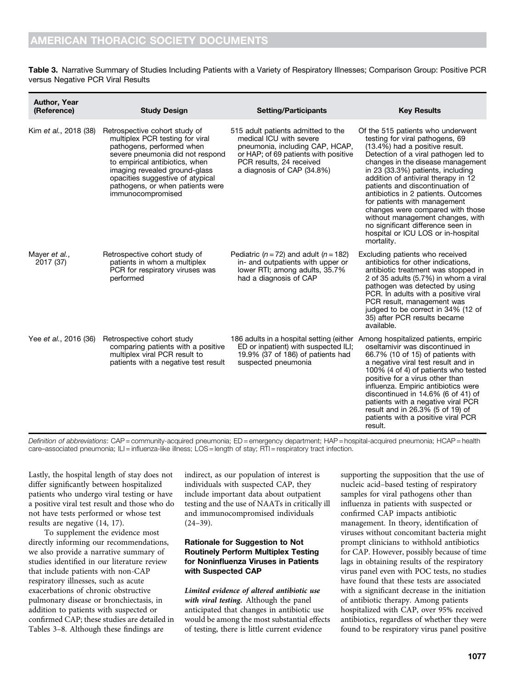Table 3. Narrative Summary of Studies Including Patients with a Variety of Respiratory Illnesses; Comparison Group: Positive PCR versus Negative PCR Viral Results

| <b>Author, Year</b><br>(Reference) | <b>Study Design</b>                                                                                                                                                                                                                                                                               | <b>Setting/Participants</b>                                                                                                                                                                        | <b>Key Results</b>                                                                                                                                                                                                                                                                                                                                                                                                                                                                                                                         |
|------------------------------------|---------------------------------------------------------------------------------------------------------------------------------------------------------------------------------------------------------------------------------------------------------------------------------------------------|----------------------------------------------------------------------------------------------------------------------------------------------------------------------------------------------------|--------------------------------------------------------------------------------------------------------------------------------------------------------------------------------------------------------------------------------------------------------------------------------------------------------------------------------------------------------------------------------------------------------------------------------------------------------------------------------------------------------------------------------------------|
| Kim et al., 2018 (38)              | Retrospective cohort study of<br>multiplex PCR testing for viral<br>pathogens, performed when<br>severe pneumonia did not respond<br>to empirical antibiotics, when<br>imaging revealed ground-glass<br>opacities suggestive of atypical<br>pathogens, or when patients were<br>immunocompromised | 515 adult patients admitted to the<br>medical ICU with severe<br>pneumonia, including CAP, HCAP,<br>or HAP; of 69 patients with positive<br>PCR results, 24 received<br>a diagnosis of CAP (34.8%) | Of the 515 patients who underwent<br>testing for viral pathogens, 69<br>(13.4%) had a positive result.<br>Detection of a viral pathogen led to<br>changes in the disease management<br>in 23 (33.3%) patients, including<br>addition of antiviral therapy in 12<br>patients and discontinuation of<br>antibiotics in 2 patients. Outcomes<br>for patients with management<br>changes were compared with those<br>without management changes, with<br>no significant difference seen in<br>hospital or ICU LOS or in-hospital<br>mortality. |
| Mayer et al.,<br>2017 (37)         | Retrospective cohort study of<br>patients in whom a multiplex<br>PCR for respiratory viruses was<br>performed                                                                                                                                                                                     | Pediatric ( $n = 72$ ) and adult ( $n = 182$ )<br>in- and outpatients with upper or<br>lower RTI; among adults, 35.7%<br>had a diagnosis of CAP                                                    | Excluding patients who received<br>antibiotics for other indications,<br>antibiotic treatment was stopped in<br>2 of 35 adults (5.7%) in whom a viral<br>pathogen was detected by using<br>PCR. In adults with a positive viral<br>PCR result, management was<br>judged to be correct in 34% (12 of<br>35) after PCR results became<br>available.                                                                                                                                                                                          |
| Yee et al., 2016 (36)              | Retrospective cohort study<br>comparing patients with a positive<br>multiplex viral PCR result to<br>patients with a negative test result                                                                                                                                                         | 186 adults in a hospital setting (either<br>ED or inpatient) with suspected ILI;<br>19.9% (37 of 186) of patients had<br>suspected pneumonia                                                       | Among hospitalized patients, empiric<br>oseltamivir was discontinued in<br>66.7% (10 of 15) of patients with<br>a negative viral test result and in<br>100% (4 of 4) of patients who tested<br>positive for a virus other than<br>influenza. Empiric antibiotics were<br>discontinued in 14.6% (6 of 41) of<br>patients with a negative viral PCR<br>result and in 26.3% (5 of 19) of<br>patients with a positive viral PCR<br>result.                                                                                                     |

Definition of abbreviations: CAP = community-acquired pneumonia; ED = emergency department; HAP = hospital-acquired pneumonia; HCAP = health care–associated pneumonia; ILI = influenza-like illness; LOS = length of stay; RTI = respiratory tract infection.

Lastly, the hospital length of stay does not differ significantly between hospitalized patients who undergo viral testing or have a positive viral test result and those who do not have tests performed or whose test results are negative (14, 17).

To supplement the evidence most directly informing our recommendations, we also provide a narrative summary of studies identified in our literature review that include patients with non-CAP respiratory illnesses, such as acute exacerbations of chronic obstructive pulmonary disease or bronchiectasis, in addition to patients with suspected or confirmed CAP; these studies are detailed in Tables 3–8. Although these findings are

indirect, as our population of interest is individuals with suspected CAP, they include important data about outpatient testing and the use of NAATs in critically ill and immunocompromised individuals  $(24-39)$ .

## Rationale for Suggestion to Not Routinely Perform Multiplex Testing for Noninfluenza Viruses in Patients with Suspected CAP

Limited evidence of altered antibiotic use with viral testing. Although the panel anticipated that changes in antibiotic use would be among the most substantial effects of testing, there is little current evidence

supporting the supposition that the use of nucleic acid–based testing of respiratory samples for viral pathogens other than influenza in patients with suspected or confirmed CAP impacts antibiotic management. In theory, identification of viruses without concomitant bacteria might prompt clinicians to withhold antibiotics for CAP. However, possibly because of time lags in obtaining results of the respiratory virus panel even with POC tests, no studies have found that these tests are associated with a significant decrease in the initiation of antibiotic therapy. Among patients hospitalized with CAP, over 95% received antibiotics, regardless of whether they were found to be respiratory virus panel positive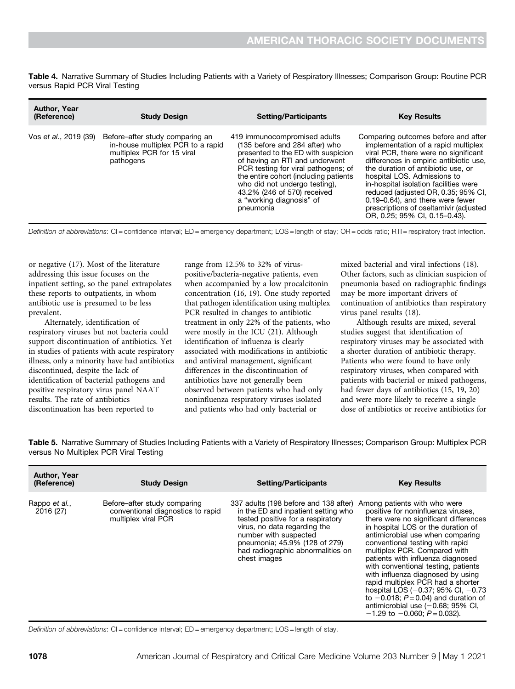Table 4. Narrative Summary of Studies Including Patients with a Variety of Respiratory Illnesses; Comparison Group: Routine PCR versus Rapid PCR Viral Testing

| <b>Author, Year</b><br>(Reference) | <b>Study Design</b>                                                                                             | <b>Setting/Participants</b>                                                                                                                                                                                                                                                                                                     | <b>Key Results</b>                                                                                                                                                                                                                                                                                                                                                                                                               |
|------------------------------------|-----------------------------------------------------------------------------------------------------------------|---------------------------------------------------------------------------------------------------------------------------------------------------------------------------------------------------------------------------------------------------------------------------------------------------------------------------------|----------------------------------------------------------------------------------------------------------------------------------------------------------------------------------------------------------------------------------------------------------------------------------------------------------------------------------------------------------------------------------------------------------------------------------|
| Vos et al., 2019 (39)              | Before-after study comparing an<br>in-house multiplex PCR to a rapid<br>multiplex PCR for 15 viral<br>pathogens | 419 immunocompromised adults<br>(135 before and 284 after) who<br>presented to the ED with suspicion<br>of having an RTI and underwent<br>PCR testing for viral pathogens; of<br>the entire cohort (including patients<br>who did not undergo testing),<br>43.2% (246 of 570) received<br>a "working diagnosis" of<br>pneumonia | Comparing outcomes before and after<br>implementation of a rapid multiplex<br>viral PCR, there were no significant<br>differences in empiric antibiotic use,<br>the duration of antibiotic use, or<br>hospital LOS. Admissions to<br>in-hospital isolation facilities were<br>reduced (adjusted OR, 0.35; 95% CI,<br>0.19–0.64), and there were fewer<br>prescriptions of oseltamivir (adjusted<br>OR, 0.25; 95% CI, 0.15-0.43). |

Definition of abbreviations: CI = confidence interval; ED = emergency department; LOS = length of stay; OR = odds ratio; RTI = respiratory tract infection.

or negative (17). Most of the literature addressing this issue focuses on the inpatient setting, so the panel extrapolates these reports to outpatients, in whom antibiotic use is presumed to be less prevalent.

Alternately, identification of respiratory viruses but not bacteria could support discontinuation of antibiotics. Yet in studies of patients with acute respiratory illness, only a minority have had antibiotics discontinued, despite the lack of identification of bacterial pathogens and positive respiratory virus panel NAAT results. The rate of antibiotics discontinuation has been reported to

range from 12.5% to 32% of viruspositive/bacteria-negative patients, even when accompanied by a low procalcitonin concentration (16, 19). One study reported that pathogen identification using multiplex PCR resulted in changes to antibiotic treatment in only 22% of the patients, who were mostly in the ICU (21). Although identification of influenza is clearly associated with modifications in antibiotic and antiviral management, significant differences in the discontinuation of antibiotics have not generally been observed between patients who had only noninfluenza respiratory viruses isolated and patients who had only bacterial or

mixed bacterial and viral infections (18). Other factors, such as clinician suspicion of pneumonia based on radiographic findings may be more important drivers of continuation of antibiotics than respiratory virus panel results (18).

Although results are mixed, several studies suggest that identification of respiratory viruses may be associated with a shorter duration of antibiotic therapy. Patients who were found to have only respiratory viruses, when compared with patients with bacterial or mixed pathogens, had fewer days of antibiotics (15, 19, 20) and were more likely to receive a single dose of antibiotics or receive antibiotics for

Table 5. Narrative Summary of Studies Including Patients with a Variety of Respiratory Illnesses; Comparison Group: Multiplex PCR versus No Multiplex PCR Viral Testing

| <b>Author, Year</b><br>(Reference) | <b>Study Design</b>                                                                      | <b>Setting/Participants</b>                                                                                                                                                                                                                                                                   | <b>Key Results</b>                                                                                                                                                                                                                                                                                                                                                                                                                                                                                                                                                      |
|------------------------------------|------------------------------------------------------------------------------------------|-----------------------------------------------------------------------------------------------------------------------------------------------------------------------------------------------------------------------------------------------------------------------------------------------|-------------------------------------------------------------------------------------------------------------------------------------------------------------------------------------------------------------------------------------------------------------------------------------------------------------------------------------------------------------------------------------------------------------------------------------------------------------------------------------------------------------------------------------------------------------------------|
| Rappo et al.,<br>2016 (27)         | Before-after study comparing<br>conventional diagnostics to rapid<br>multiplex viral PCR | 337 adults (198 before and 138 after) Among patients with who were<br>in the ED and inpatient setting who<br>tested positive for a respiratory<br>virus, no data regarding the<br>number with suspected<br>pneumonia; 45.9% (128 of 279)<br>had radiographic abnormalities on<br>chest images | positive for noninfluenza viruses,<br>there were no significant differences<br>in hospital LOS or the duration of<br>antimicrobial use when comparing<br>conventional testing with rapid<br>multiplex PCR. Compared with<br>patients with influenza diagnosed<br>with conventional testing, patients<br>with influenza diagnosed by using<br>rapid multiplex PCR had a shorter<br>hospital LOS $(-0.37; 95\% \text{ Cl}, -0.73)$<br>to $-0.018$ ; $P = 0.04$ ) and duration of<br>antimicrobial use $(-0.68; 95\% \text{ Cl.})$<br>$-1.29$ to $-0.060$ ; $P = 0.032$ ). |

Definition of abbreviations: CI = confidence interval; ED = emergency department; LOS = length of stay.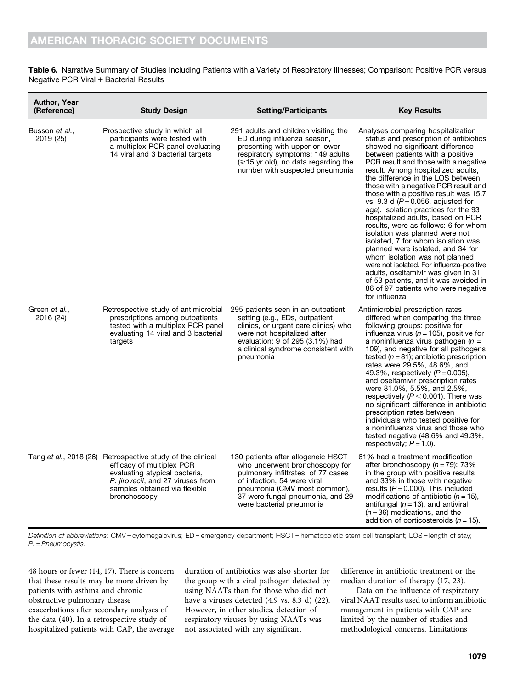Table 6. Narrative Summary of Studies Including Patients with a Variety of Respiratory Illnesses; Comparison: Positive PCR versus Negative PCR Viral  $+$  Bacterial Results

| <b>Author, Year</b><br>(Reference) | <b>Study Design</b>                                                                                                                                                                                                    | <b>Setting/Participants</b>                                                                                                                                                                                                               | <b>Key Results</b>                                                                                                                                                                                                                                                                                                                                                                                                                                                                                                                                                                                                                                                                                                                                                                                                                                           |
|------------------------------------|------------------------------------------------------------------------------------------------------------------------------------------------------------------------------------------------------------------------|-------------------------------------------------------------------------------------------------------------------------------------------------------------------------------------------------------------------------------------------|--------------------------------------------------------------------------------------------------------------------------------------------------------------------------------------------------------------------------------------------------------------------------------------------------------------------------------------------------------------------------------------------------------------------------------------------------------------------------------------------------------------------------------------------------------------------------------------------------------------------------------------------------------------------------------------------------------------------------------------------------------------------------------------------------------------------------------------------------------------|
| Busson et al.,<br>2019 (25)        | Prospective study in which all<br>participants were tested with<br>a multiplex PCR panel evaluating<br>14 viral and 3 bacterial targets                                                                                | 291 adults and children visiting the<br>ED during influenza season,<br>presenting with upper or lower<br>respiratory symptoms; 149 adults<br>$(\geq 15$ yr old), no data regarding the<br>number with suspected pneumonia                 | Analyses comparing hospitalization<br>status and prescription of antibiotics<br>showed no significant difference<br>between patients with a positive<br>PCR result and those with a negative<br>result. Among hospitalized adults,<br>the difference in the LOS between<br>those with a negative PCR result and<br>those with a positive result was 15.7<br>vs. 9.3 d ( $P = 0.056$ , adjusted for<br>age). Isolation practices for the 93<br>hospitalized adults, based on PCR<br>results, were as follows: 6 for whom<br>isolation was planned were not<br>isolated, 7 for whom isolation was<br>planned were isolated, and 34 for<br>whom isolation was not planned<br>were not isolated. For influenza-positive<br>adults, oseltamivir was given in 31<br>of 53 patients, and it was avoided in<br>86 of 97 patients who were negative<br>for influenza. |
| Green et al.,<br>2016 (24)         | Retrospective study of antimicrobial<br>prescriptions among outpatients<br>tested with a multiplex PCR panel<br>evaluating 14 viral and 3 bacterial<br>targets                                                         | 295 patients seen in an outpatient<br>setting (e.g., EDs, outpatient<br>clinics, or urgent care clinics) who<br>were not hospitalized after<br>evaluation; 9 of 295 (3.1%) had<br>a clinical syndrome consistent with<br>pneumonia        | Antimicrobial prescription rates<br>differed when comparing the three<br>following groups: positive for<br>influenza virus ( $n = 105$ ), positive for<br>a noninfluenza virus pathogen ( $n =$<br>109), and negative for all pathogens<br>tested ( $n = 81$ ); antibiotic prescription<br>rates were 29.5%, 48.6%, and<br>49.3%, respectively $(P = 0.005)$ ,<br>and oseltamivir prescription rates<br>were 81.0%, 5.5%, and 2.5%,<br>respectively ( $P < 0.001$ ). There was<br>no significant difference in antibiotic<br>prescription rates between<br>individuals who tested positive for<br>a noninfluenza virus and those who<br>tested negative $(48.6\%$ and $49.3\%$ ,<br>respectively; $P = 1.0$ ).                                                                                                                                               |
|                                    | Tang et al., 2018 (26) Retrospective study of the clinical<br>efficacy of multiplex PCR<br>evaluating atypical bacteria,<br>P. <i>jirovecii</i> , and 27 viruses from<br>samples obtained via flexible<br>bronchoscopy | 130 patients after allogeneic HSCT<br>who underwent bronchoscopy for<br>pulmonary infiltrates; of 77 cases<br>of infection, 54 were viral<br>pneumonia (CMV most common),<br>37 were fungal pneumonia, and 29<br>were bacterial pneumonia | 61% had a treatment modification<br>after bronchoscopy $(n = 79)$ : 73%<br>in the group with positive results<br>and 33% in those with negative<br>results ( $P = 0.000$ ). This included<br>modifications of antibiotic $(n = 15)$ ,<br>antifungal ( $n = 13$ ), and antiviral<br>$(n=36)$ medications, and the<br>addition of corticosteroids $(n = 15)$ .                                                                                                                                                                                                                                                                                                                                                                                                                                                                                                 |

Definition of abbreviations: CMV = cytomegalovirus; ED = emergency department; HSCT = hematopoietic stem cell transplant; LOS = length of stay; P. = Pneumocystis.

48 hours or fewer (14, 17). There is concern that these results may be more driven by patients with asthma and chronic obstructive pulmonary disease exacerbations after secondary analyses of the data (40). In a retrospective study of hospitalized patients with CAP, the average

duration of antibiotics was also shorter for the group with a viral pathogen detected by using NAATs than for those who did not have a viruses detected (4.9 vs. 8.3 d) (22). However, in other studies, detection of respiratory viruses by using NAATs was not associated with any significant

difference in antibiotic treatment or the median duration of therapy (17, 23).

Data on the influence of respiratory viral NAAT results used to inform antibiotic management in patients with CAP are limited by the number of studies and methodological concerns. Limitations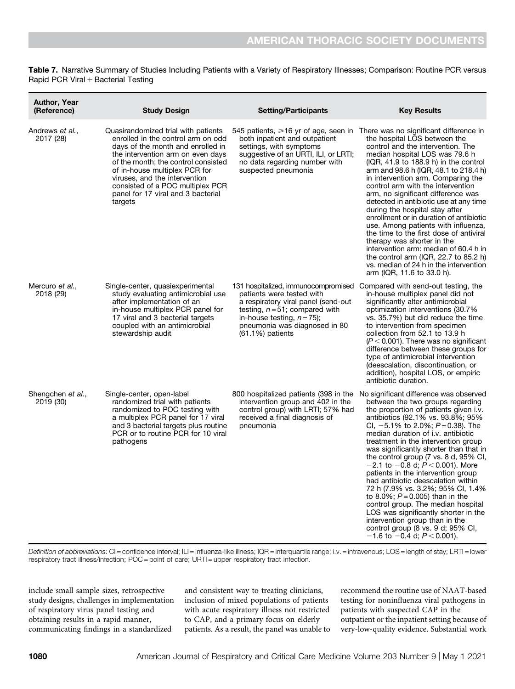Table 7. Narrative Summary of Studies Including Patients with a Variety of Respiratory Illnesses; Comparison: Routine PCR versus Rapid PCR Viral  $+$  Bacterial Testing

| <b>Author, Year</b><br>(Reference)   | <b>Study Design</b>                                                                                                                                                                                                                                                                                                                               | <b>Setting/Participants</b>                                                                                                                                                                                                          | <b>Key Results</b>                                                                                                                                                                                                                                                                                                                                                                                                                                                                                                                                                                                                                                                                                                                                                                           |
|--------------------------------------|---------------------------------------------------------------------------------------------------------------------------------------------------------------------------------------------------------------------------------------------------------------------------------------------------------------------------------------------------|--------------------------------------------------------------------------------------------------------------------------------------------------------------------------------------------------------------------------------------|----------------------------------------------------------------------------------------------------------------------------------------------------------------------------------------------------------------------------------------------------------------------------------------------------------------------------------------------------------------------------------------------------------------------------------------------------------------------------------------------------------------------------------------------------------------------------------------------------------------------------------------------------------------------------------------------------------------------------------------------------------------------------------------------|
| Andrews <i>et al.</i> ,<br>2017 (28) | Quasirandomized trial with patients<br>enrolled in the control arm on odd<br>days of the month and enrolled in<br>the intervention arm on even days<br>of the month; the control consisted<br>of in-house multiplex PCR for<br>viruses, and the intervention<br>consisted of a POC multiplex PCR<br>panel for 17 viral and 3 bacterial<br>targets | 545 patients, $\geq 16$ yr of age, seen in<br>both inpatient and outpatient<br>settings, with symptoms<br>suggestive of an URTI, ILI, or LRTI;<br>no data regarding number with<br>suspected pneumonia                               | There was no significant difference in<br>the hospital LOS between the<br>control and the intervention. The<br>median hospital LOS was 79.6 h<br>$(IQR, 41.9 to 188.9 h)$ in the control<br>arm and 98.6 h (IQR, 48.1 to 218.4 h)<br>in intervention arm. Comparing the<br>control arm with the intervention<br>arm, no significant difference was<br>detected in antibiotic use at any time<br>during the hospital stay after<br>enrollment or in duration of antibiotic<br>use. Among patients with influenza,<br>the time to the first dose of antiviral<br>therapy was shorter in the<br>intervention arm: median of 60.4 h in<br>the control arm (IQR, 22.7 to 85.2 h)<br>vs. median of 24 h in the intervention<br>arm (IQR, 11.6 to 33.0 h).                                          |
| Mercuro <i>et al.</i> ,<br>2018 (29) | Single-center, quasiexperimental<br>study evaluating antimicrobial use<br>after implementation of an<br>in-house multiplex PCR panel for<br>17 viral and 3 bacterial targets<br>coupled with an antimicrobial<br>stewardship audit                                                                                                                | 131 hospitalized, immunocompromised<br>patients were tested with<br>a respiratory viral panel (send-out<br>testing, $n = 51$ ; compared with<br>in-house testing, $n = 75$ ;<br>pneumonia was diagnosed in 80<br>$(61.1\%)$ patients | Compared with send-out testing, the<br>in-house multiplex panel did not<br>significantly alter antimicrobial<br>optimization interventions (30.7%<br>vs. 35.7%) but did reduce the time<br>to intervention from specimen<br>collection from 52.1 to 13.9 h<br>$(P < 0.001)$ . There was no significant<br>difference between these groups for<br>type of antimicrobial intervention<br>(deescalation, discontinuation, or<br>addition), hospital LOS, or empiric<br>antibiotic duration.                                                                                                                                                                                                                                                                                                     |
| Shengchen et al.,<br>2019 (30)       | Single-center, open-label<br>randomized trial with patients<br>randomized to POC testing with<br>a multiplex PCR panel for 17 viral<br>and 3 bacterial targets plus routine<br>PCR or to routine PCR for 10 viral<br>pathogens                                                                                                                    | 800 hospitalized patients (398 in the<br>intervention group and 402 in the<br>control group) with LRTI; 57% had<br>received a final diagnosis of<br>pneumonia                                                                        | No significant difference was observed<br>between the two groups regarding<br>the proportion of patients given i.v.<br>antibiotics (92.1% vs. 93.8%; 95%<br>CI, $-5.1\%$ to 2.0%; $P = 0.38$ ). The<br>median duration of i.v. antibiotic<br>treatment in the intervention group<br>was significantly shorter than that in<br>the control group $(7 \text{ vs. } 8 \text{ d}, 95\% \text{ Cl},$<br>$-2.1$ to $-0.8$ d; $P < 0.001$ ). More<br>patients in the intervention group<br>had antibiotic deescalation within<br>72 h (7.9% vs. 3.2%; 95% CI, 1.4%<br>to 8.0%; $P = 0.005$ ) than in the<br>control group. The median hospital<br>LOS was significantly shorter in the<br>intervention group than in the<br>control group (8 vs. 9 d; 95% CI,<br>$-1.6$ to $-0.4$ d; $P < 0.001$ ). |

Definition of abbreviations: CI = confidence interval; ILI = influenza-like illness; IQR = interquartile range; i.v. = intravenous; LOS = length of stay; LRTI = lower respiratory tract illness/infection; POC = point of care; URTI = upper respiratory tract infection.

include small sample sizes, retrospective study designs, challenges in implementation of respiratory virus panel testing and obtaining results in a rapid manner, communicating findings in a standardized

and consistent way to treating clinicians, inclusion of mixed populations of patients with acute respiratory illness not restricted to CAP, and a primary focus on elderly patients. As a result, the panel was unable to recommend the routine use of NAAT-based testing for noninfluenza viral pathogens in patients with suspected CAP in the outpatient or the inpatient setting because of very-low-quality evidence. Substantial work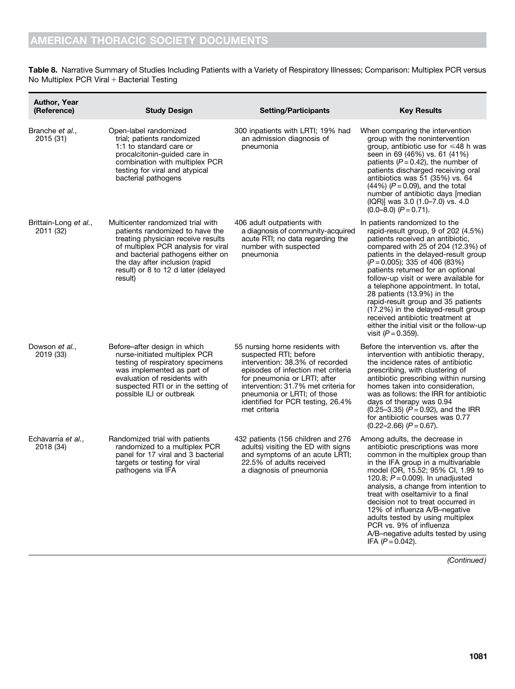Table 8. Narrative Summary of Studies Including Patients with a Variety of Respiratory Illnesses; Comparison: Multiplex PCR versus No Multiplex PCR Viral  $+$  Bacterial Testing

| <b>Author, Year</b><br>(Reference) | <b>Study Design</b>                                                                                                                                                                                                                                                        | <b>Setting/Participants</b>                                                                                                                                                                                                                                                                  | <b>Key Results</b>                                                                                                                                                                                                                                                                                                                                                                                                                                                                                                                                                  |
|------------------------------------|----------------------------------------------------------------------------------------------------------------------------------------------------------------------------------------------------------------------------------------------------------------------------|----------------------------------------------------------------------------------------------------------------------------------------------------------------------------------------------------------------------------------------------------------------------------------------------|---------------------------------------------------------------------------------------------------------------------------------------------------------------------------------------------------------------------------------------------------------------------------------------------------------------------------------------------------------------------------------------------------------------------------------------------------------------------------------------------------------------------------------------------------------------------|
| Branche et al.,<br>2015 (31)       | Open-label randomized<br>trial; patients randomized<br>1:1 to standard care or<br>procalcitonin-guided care in<br>combination with multiplex PCR<br>testing for viral and atypical<br>bacterial pathogens                                                                  | 300 inpatients with LRTI; 19% had<br>an admission diagnosis of<br>pneumonia                                                                                                                                                                                                                  | When comparing the intervention<br>group with the nonintervention<br>group, antibiotic use for $\leq 48$ h was<br>seen in 69 (46%) vs. 61 (41%)<br>patients ( $P = 0.42$ ), the number of<br>patients discharged receiving oral<br>antibiotics was 51 (35%) vs. 64<br>$(44%) (P = 0.09)$ , and the total<br>number of antibiotic days [median<br>(IQR)] was 3.0 (1.0–7.0) vs. 4.0<br>$(0.0-8.0)$ $(P = 0.71)$ .                                                                                                                                                     |
| Brittain-Long et al.,<br>2011 (32) | Multicenter randomized trial with<br>patients randomized to have the<br>treating physician receive results<br>of multiplex PCR analysis for viral<br>and bacterial pathogens either on<br>the day after inclusion (rapid<br>result) or 8 to 12 d later (delayed<br>result) | 406 adult outpatients with<br>a diagnosis of community-acquired<br>acute RTI; no data regarding the<br>number with suspected<br>pneumonia                                                                                                                                                    | In patients randomized to the<br>rapid-result group, 9 of 202 (4.5%)<br>patients received an antibiotic,<br>compared with 25 of 204 (12.3%) of<br>patients in the delayed-result group<br>$(P = 0.005)$ ; 335 of 406 (83%)<br>patients returned for an optional<br>follow-up visit or were available for<br>a telephone appointment. In total,<br>28 patients (13.9%) in the<br>rapid-result group and 35 patients<br>(17.2%) in the delayed-result group<br>received antibiotic treatment at<br>either the initial visit or the follow-up<br>visit $(P = 0.359)$ . |
| Dowson et al.,<br>2019 (33)        | Before-after design in which<br>nurse-initiated multiplex PCR<br>testing of respiratory specimens<br>was implemented as part of<br>evaluation of residents with<br>suspected RTI or in the setting of<br>possible ILI or outbreak                                          | 55 nursing home residents with<br>suspected RTI; before<br>intervention: 38.3% of recorded<br>episodes of infection met criteria<br>for pneumonia or LRTI; after<br>intervention: 31.7% met criteria for<br>pneumonia or LRTI; of those<br>identified for PCR testing, 26.4%<br>met criteria | Before the intervention vs. after the<br>intervention with antibiotic therapy,<br>the incidence rates of antibiotic<br>prescribing, with clustering of<br>antibiotic prescribing within nursing<br>homes taken into consideration,<br>was as follows: the IRR for antibiotic<br>days of therapy was 0.94<br>$(0.25-3.35)$ (P = 0.92), and the IRR<br>for antibiotic courses was 0.77<br>$(0.22 - 2.66)$ $(P = 0.67)$ .                                                                                                                                              |
| Echavarría et al.,<br>2018 (34)    | Randomized trial with patients<br>randomized to a multiplex PCR<br>panel for 17 viral and 3 bacterial<br>targets or testing for viral<br>pathogens via IFA                                                                                                                 | 432 patients (156 children and 276<br>adults) visiting the ED with signs<br>and symptoms of an acute LRTI;<br>22.5% of adults received<br>a diagnosis of pneumonia                                                                                                                           | Among adults, the decrease in<br>antibiotic prescriptions was more<br>common in the multiplex group than<br>in the IFA group in a multivariable<br>model (OR, 15.52; 95% CI, 1.99 to<br>120.8; $P = 0.009$ ). In unadjusted<br>analysis, a change from intention to<br>treat with oseltamivir to a final<br>decision not to treat occurred in<br>12% of influenza A/B-negative<br>adults tested by using multiplex<br>PCR vs. 9% of influenza<br>A/B-negative adults tested by using<br>IFA $(P = 0.042)$ .                                                         |

(Continued)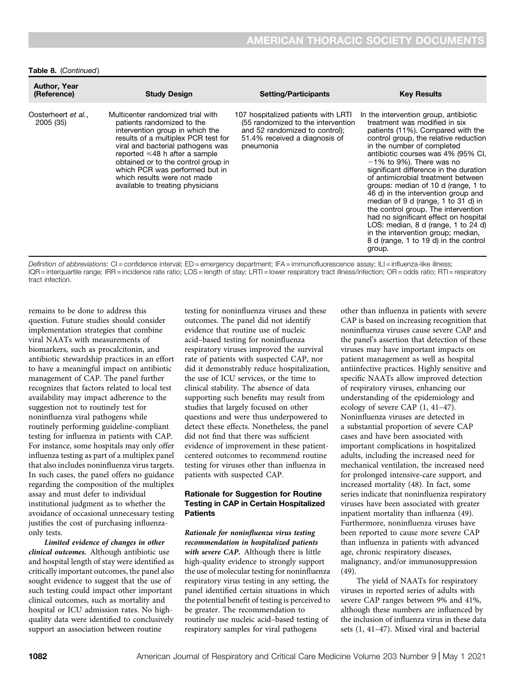#### Table 8. (Continued)

| <b>Author, Year</b><br>(Reference) | <b>Study Design</b>                                                                                                                                                                                                                                                                                                                                               | <b>Setting/Participants</b>                                                                                                                               | <b>Key Results</b>                                                                                                                                                                                                                                                                                                                                                                                                                                                                                                                                                                                                                                                           |
|------------------------------------|-------------------------------------------------------------------------------------------------------------------------------------------------------------------------------------------------------------------------------------------------------------------------------------------------------------------------------------------------------------------|-----------------------------------------------------------------------------------------------------------------------------------------------------------|------------------------------------------------------------------------------------------------------------------------------------------------------------------------------------------------------------------------------------------------------------------------------------------------------------------------------------------------------------------------------------------------------------------------------------------------------------------------------------------------------------------------------------------------------------------------------------------------------------------------------------------------------------------------------|
| Oosterheert et al.,<br>2005 (35)   | Multicenter randomized trial with<br>patients randomized to the<br>intervention group in which the<br>results of a multiplex PCR test for<br>viral and bacterial pathogens was<br>reported $\leq 48$ h after a sample<br>obtained or to the control group in<br>which PCR was performed but in<br>which results were not made<br>available to treating physicians | 107 hospitalized patients with LRTI<br>(55 randomized to the intervention<br>and 52 randomized to control);<br>51.4% received a diagnosis of<br>pneumonia | In the intervention group, antibiotic<br>treatment was modified in six<br>patients (11%). Compared with the<br>control group, the relative reduction<br>in the number of completed<br>antibiotic courses was 4% (95% CI,<br>$-1\%$ to 9%). There was no<br>significant difference in the duration<br>of antimicrobial treatment between<br>groups: median of 10 d (range, 1 to<br>46 d) in the intervention group and<br>median of 9 d (range, 1 to 31 d) in<br>the control group. The intervention<br>had no significant effect on hospital<br>LOS: median, 8 d (range, 1 to 24 d)<br>in the intervention group; median,<br>8 d (range, 1 to 19 d) in the control<br>group. |

Definition of abbreviations: CI = confidence interval; ED = emergency department; IFA = immunofluorescence assay; ILI = influenza-like illness; IQR = interquartile range; IRR = incidence rate ratio; LOS = length of stay; LRTI = lower respiratory tract illness/infection; OR = odds ratio; RTI = respiratory tract infection.

remains to be done to address this question. Future studies should consider implementation strategies that combine viral NAATs with measurements of biomarkers, such as procalcitonin, and antibiotic stewardship practices in an effort to have a meaningful impact on antibiotic management of CAP. The panel further recognizes that factors related to local test availability may impact adherence to the suggestion not to routinely test for noninfluenza viral pathogens while routinely performing guideline-compliant testing for influenza in patients with CAP. For instance, some hospitals may only offer influenza testing as part of a multiplex panel that also includes noninfluenza virus targets. In such cases, the panel offers no guidance regarding the composition of the multiplex assay and must defer to individual institutional judgment as to whether the avoidance of occasional unnecessary testing justifies the cost of purchasing influenzaonly tests.

Limited evidence of changes in other clinical outcomes. Although antibiotic use and hospital length of stay were identified as critically important outcomes, the panel also sought evidence to suggest that the use of such testing could impact other important clinical outcomes, such as mortality and hospital or ICU admission rates. No highquality data were identified to conclusively support an association between routine

testing for noninfluenza viruses and these outcomes. The panel did not identify evidence that routine use of nucleic acid–based testing for noninfluenza respiratory viruses improved the survival rate of patients with suspected CAP, nor did it demonstrably reduce hospitalization, the use of ICU services, or the time to clinical stability. The absence of data supporting such benefits may result from studies that largely focused on other questions and were thus underpowered to detect these effects. Nonetheless, the panel did not find that there was sufficient evidence of improvement in these patientcentered outcomes to recommend routine testing for viruses other than influenza in patients with suspected CAP.

## Rationale for Suggestion for Routine Testing in CAP in Certain Hospitalized **Patients**

Rationale for noninfluenza virus testing recommendation in hospitalized patients with severe CAP. Although there is little high-quality evidence to strongly support the use of molecular testing for noninfluenza respiratory virus testing in any setting, the panel identified certain situations in which the potential benefit of testing is perceived to be greater. The recommendation to routinely use nucleic acid–based testing of respiratory samples for viral pathogens

other than influenza in patients with severe CAP is based on increasing recognition that noninfluenza viruses cause severe CAP and the panel's assertion that detection of these viruses may have important impacts on patient management as well as hospital antiinfective practices. Highly sensitive and specific NAATs allow improved detection of respiratory viruses, enhancing our understanding of the epidemiology and ecology of severe CAP (1, 41–47). Noninfluenza viruses are detected in a substantial proportion of severe CAP cases and have been associated with important complications in hospitalized adults, including the increased need for mechanical ventilation, the increased need for prolonged intensive-care support, and increased mortality (48). In fact, some series indicate that noninfluenza respiratory viruses have been associated with greater inpatient mortality than influenza (49). Furthermore, noninfluenza viruses have been reported to cause more severe CAP than influenza in patients with advanced age, chronic respiratory diseases, malignancy, and/or immunosuppression (49).

The yield of NAATs for respiratory viruses in reported series of adults with severe CAP ranges between 9% and 41%, although these numbers are influenced by the inclusion of influenza virus in these data sets (1, 41–47). Mixed viral and bacterial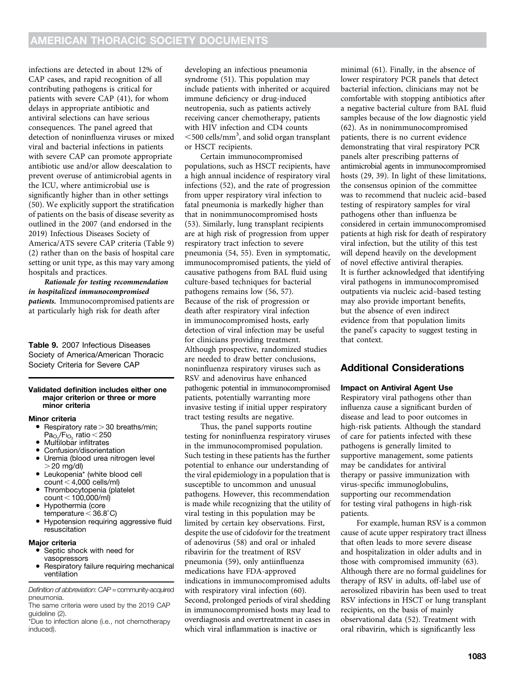infections are detected in about 12% of CAP cases, and rapid recognition of all contributing pathogens is critical for patients with severe CAP (41), for whom delays in appropriate antibiotic and antiviral selections can have serious consequences. The panel agreed that detection of noninfluenza viruses or mixed viral and bacterial infections in patients with severe CAP can promote appropriate antibiotic use and/or allow deescalation to prevent overuse of antimicrobial agents in the ICU, where antimicrobial use is significantly higher than in other settings (50). We explicitly support the stratification of patients on the basis of disease severity as outlined in the 2007 (and endorsed in the 2019) Infectious Diseases Society of America/ATS severe CAP criteria (Table 9) (2) rather than on the basis of hospital care setting or unit type, as this may vary among hospitals and practices.

Rationale for testing recommendation in hospitalized immunocompromised patients. Immunocompromised patients are at particularly high risk for death after

Table 9. 2007 Infectious Diseases Society of America/American Thoracic Society Criteria for Severe CAP

#### Validated definition includes either one major criterion or three or more minor criteria

#### Minor criteria

- Respiratory rate  $>$  30 breaths/min;
- Pa<sub>O∠</sub>/F<sub>lO<sub>2</sub> ratio < 250<br>Multilobar infiltrates</sub>
- Confusion/disorientation
- Uremia (blood urea nitrogen level
- $>$  20 mg/dl) • Leukopenia\* (white blood cell
- count  $<$  4,000 cells/ml) • Thrombocytopenia (platelet count  $<$  100,000/ml)
- Hypothermia (core
- temperature  $<$  36.8 $^{\circ}$ C)
- Hypotension requiring aggressive fluid resuscitation

#### Major criteria

- Septic shock with need for vasopressors
- Respiratory failure requiring mechanical ventilation

Definition of abbreviation: CAP = community-acquired pneumonia. The same criteria were used by the 2019 CAP

guideline (2).

\*Due to infection alone (i.e., not chemotherapy induced).

developing an infectious pneumonia syndrome (51). This population may include patients with inherited or acquired immune deficiency or drug-induced neutropenia, such as patients actively receiving cancer chemotherapy, patients with HIV infection and CD4 counts  $<$ 500 cells/mm<sup>3</sup>, and solid organ transplant or HSCT recipients.

Certain immunocompromised populations, such as HSCT recipients, have a high annual incidence of respiratory viral infections (52), and the rate of progression from upper respiratory viral infection to fatal pneumonia is markedly higher than that in nonimmunocompromised hosts (53). Similarly, lung transplant recipients are at high risk of progression from upper respiratory tract infection to severe pneumonia (54, 55). Even in symptomatic, immunocompromised patients, the yield of causative pathogens from BAL fluid using culture-based techniques for bacterial pathogens remains low (56, 57). Because of the risk of progression or death after respiratory viral infection in immunocompromised hosts, early detection of viral infection may be useful for clinicians providing treatment. Although prospective, randomized studies are needed to draw better conclusions, noninfluenza respiratory viruses such as RSV and adenovirus have enhanced pathogenic potential in immunocompromised patients, potentially warranting more invasive testing if initial upper respiratory tract testing results are negative.

Thus, the panel supports routine testing for noninfluenza respiratory viruses in the immunocompromised population. Such testing in these patients has the further potential to enhance our understanding of the viral epidemiology in a population that is susceptible to uncommon and unusual pathogens. However, this recommendation is made while recognizing that the utility of viral testing in this population may be limited by certain key observations. First, despite the use of cidofovir for the treatment of adenovirus (58) and oral or inhaled ribavirin for the treatment of RSV pneumonia (59), only antiinfluenza medications have FDA-approved indications in immunocompromised adults with respiratory viral infection (60). Second, prolonged periods of viral shedding in immunocompromised hosts may lead to overdiagnosis and overtreatment in cases in which viral inflammation is inactive or

minimal (61). Finally, in the absence of lower respiratory PCR panels that detect bacterial infection, clinicians may not be comfortable with stopping antibiotics after a negative bacterial culture from BAL fluid samples because of the low diagnostic yield (62). As in nonimmunocompromised patients, there is no current evidence demonstrating that viral respiratory PCR panels alter prescribing patterns of antimicrobial agents in immunocompromised hosts (29, 39). In light of these limitations, the consensus opinion of the committee was to recommend that nucleic acid–based testing of respiratory samples for viral pathogens other than influenza be considered in certain immunocompromised patients at high risk for death of respiratory viral infection, but the utility of this test will depend heavily on the development of novel effective antiviral therapies. It is further acknowledged that identifying viral pathogens in immunocompromised outpatients via nucleic acid–based testing may also provide important benefits, but the absence of even indirect evidence from that population limits the panel's capacity to suggest testing in that context.

# Additional Considerations

## Impact on Antiviral Agent Use

Respiratory viral pathogens other than influenza cause a significant burden of disease and lead to poor outcomes in high-risk patients. Although the standard of care for patients infected with these pathogens is generally limited to supportive management, some patients may be candidates for antiviral therapy or passive immunization with virus-specific immunoglobulins, supporting our recommendation for testing viral pathogens in high-risk patients.

For example, human RSV is a common cause of acute upper respiratory tract illness that often leads to more severe disease and hospitalization in older adults and in those with compromised immunity (63). Although there are no formal guidelines for therapy of RSV in adults, off-label use of aerosolized ribavirin has been used to treat RSV infections in HSCT or lung transplant recipients, on the basis of mainly observational data (52). Treatment with oral ribavirin, which is significantly less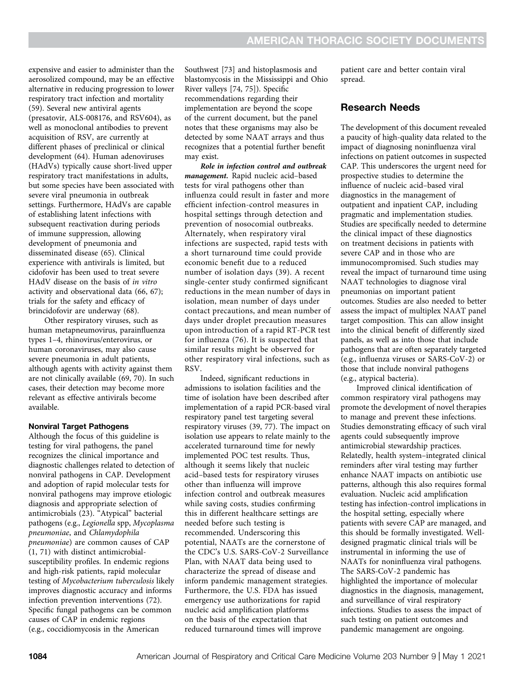expensive and easier to administer than the aerosolized compound, may be an effective alternative in reducing progression to lower respiratory tract infection and mortality (59). Several new antiviral agents (presatovir, ALS-008176, and RSV604), as well as monoclonal antibodies to prevent acquisition of RSV, are currently at different phases of preclinical or clinical development (64). Human adenoviruses (HAdVs) typically cause short-lived upper respiratory tract manifestations in adults, but some species have been associated with severe viral pneumonia in outbreak settings. Furthermore, HAdVs are capable of establishing latent infections with subsequent reactivation during periods of immune suppression, allowing development of pneumonia and disseminated disease (65). Clinical experience with antivirals is limited, but cidofovir has been used to treat severe HAdV disease on the basis of in vitro activity and observational data (66, 67); trials for the safety and efficacy of brincidofovir are underway (68).

Other respiratory viruses, such as human metapneumovirus, parainfluenza types 1–4, rhinovirus/enterovirus, or human coronaviruses, may also cause severe pneumonia in adult patients, although agents with activity against them are not clinically available (69, 70). In such cases, their detection may become more relevant as effective antivirals become available.

# Nonviral Target Pathogens

Although the focus of this guideline is testing for viral pathogens, the panel recognizes the clinical importance and diagnostic challenges related to detection of nonviral pathogens in CAP. Development and adoption of rapid molecular tests for nonviral pathogens may improve etiologic diagnosis and appropriate selection of antimicrobials (23). "Atypical" bacterial pathogens (e.g., Legionella spp, Mycoplasma pneumoniae, and Chlamydophila pneumoniae) are common causes of CAP (1, 71) with distinct antimicrobialsusceptibility profiles. In endemic regions and high-risk patients, rapid molecular testing of Mycobacterium tuberculosis likely improves diagnostic accuracy and informs infection prevention interventions (72). Specific fungal pathogens can be common causes of CAP in endemic regions (e.g., coccidiomycosis in the American

Southwest [73] and histoplasmosis and blastomycosis in the Mississippi and Ohio River valleys [74, 75]). Specific recommendations regarding their implementation are beyond the scope of the current document, but the panel notes that these organisms may also be detected by some NAAT arrays and thus recognizes that a potential further benefit may exist.

Role in infection control and outbreak management. Rapid nucleic acid–based tests for viral pathogens other than influenza could result in faster and more efficient infection-control measures in hospital settings through detection and prevention of nosocomial outbreaks. Alternately, when respiratory viral infections are suspected, rapid tests with a short turnaround time could provide economic benefit due to a reduced number of isolation days (39). A recent single-center study confirmed significant reductions in the mean number of days in isolation, mean number of days under contact precautions, and mean number of days under droplet precaution measures upon introduction of a rapid RT-PCR test for influenza (76). It is suspected that similar results might be observed for other respiratory viral infections, such as RSV.

Indeed, significant reductions in admissions to isolation facilities and the time of isolation have been described after implementation of a rapid PCR-based viral respiratory panel test targeting several respiratory viruses (39, 77). The impact on isolation use appears to relate mainly to the accelerated turnaround time for newly implemented POC test results. Thus, although it seems likely that nucleic acid–based tests for respiratory viruses other than influenza will improve infection control and outbreak measures while saving costs, studies confirming this in different healthcare settings are needed before such testing is recommended. Underscoring this potential, NAATs are the cornerstone of the CDC's U.S. SARS-CoV-2 Surveillance Plan, with NAAT data being used to characterize the spread of disease and inform pandemic management strategies. Furthermore, the U.S. FDA has issued emergency use authorizations for rapid nucleic acid amplification platforms on the basis of the expectation that reduced turnaround times will improve

patient care and better contain viral spread.

# Research Needs

The development of this document revealed a paucity of high-quality data related to the impact of diagnosing noninfluenza viral infections on patient outcomes in suspected CAP. This underscores the urgent need for prospective studies to determine the influence of nucleic acid–based viral diagnostics in the management of outpatient and inpatient CAP, including pragmatic and implementation studies. Studies are specifically needed to determine the clinical impact of these diagnostics on treatment decisions in patients with severe CAP and in those who are immunocompromised. Such studies may reveal the impact of turnaround time using NAAT technologies to diagnose viral pneumonias on important patient outcomes. Studies are also needed to better assess the impact of multiplex NAAT panel target composition. This can allow insight into the clinical benefit of differently sized panels, as well as into those that include pathogens that are often separately targeted (e.g., influenza viruses or SARS-CoV-2) or those that include nonviral pathogens (e.g., atypical bacteria).

Improved clinical identification of common respiratory viral pathogens may promote the development of novel therapies to manage and prevent these infections. Studies demonstrating efficacy of such viral agents could subsequently improve antimicrobial stewardship practices. Relatedly, health system–integrated clinical reminders after viral testing may further enhance NAAT impacts on antibiotic use patterns, although this also requires formal evaluation. Nucleic acid amplification testing has infection-control implications in the hospital setting, especially where patients with severe CAP are managed, and this should be formally investigated. Welldesigned pragmatic clinical trials will be instrumental in informing the use of NAATs for noninfluenza viral pathogens. The SARS-CoV-2 pandemic has highlighted the importance of molecular diagnostics in the diagnosis, management, and surveillance of viral respiratory infections. Studies to assess the impact of such testing on patient outcomes and pandemic management are ongoing.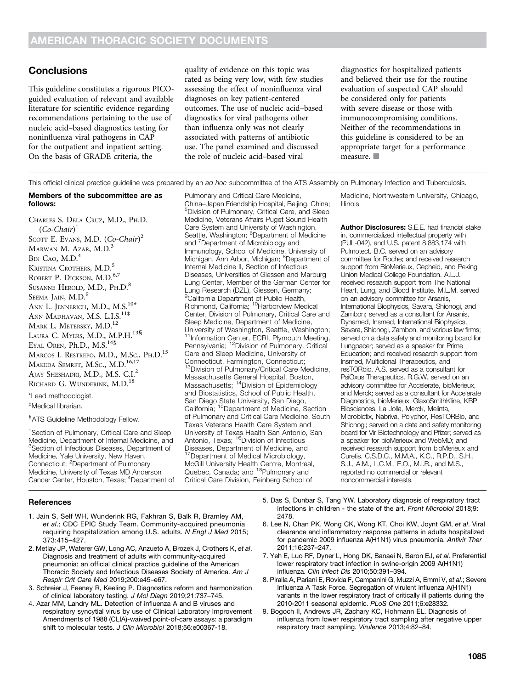# **Conclusions**

This guideline constitutes a rigorous PICOguided evaluation of relevant and available literature for scientific evidence regarding recommendations pertaining to the use of nucleic acid–based diagnostics testing for noninfluenza viral pathogens in CAP for the outpatient and inpatient setting. On the basis of GRADE criteria, the

quality of evidence on this topic was rated as being very low, with few studies assessing the effect of noninfluenza viral diagnoses on key patient-centered outcomes. The use of nucleic acid–based diagnostics for viral pathogens other than influenza only was not clearly associated with patterns of antibiotic use. The panel examined and discussed the role of nucleic acid–based viral

diagnostics for hospitalized patients and believed their use for the routine evaluation of suspected CAP should be considered only for patients with severe disease or those with immunocompromising conditions. Neither of the recommendations in this guideline is considered to be an appropriate target for a performance measure.  $\blacksquare$ 

This official clinical practice guideline was prepared by an ad hoc subcommittee of the ATS Assembly on Pulmonary Infection and Tuberculosis.

#### Members of the subcommittee are as follows:

CHARLES S. DELA CRUZ, M.D., PH.D.  $(Co{\text -}Chair)^1$ SCOTT E. EVANS, M.D. (Co-Chair)<sup>2</sup> MARWAN M. AZAR, M.D.<sup>3</sup>  $BIN$  CAO,  $M.D.<sup>4</sup>$ KRISTINA CROTHERS, M.D.<sup>5</sup> ROBERT P. DICKSON, M.D.<sup>6,7</sup> SUSANNE HEROLD, M.D., PH.D.<sup>8</sup> SEEMA JAIN, M.D.<sup>9</sup> ANN L. JENNERICH, M.D., M.S.<sup>10\*</sup> ANN MADHAVAN, M.S. L.I.S.<sup>11‡</sup> MARK L. METERSKY, M.D.<sup>12</sup> LAURA C. MYERS, M.D., M.P.H.<sup>13§</sup> EYAL OREN, Ph.D., M.S.<sup>14§</sup> MARCOS I. RESTREPO, M.D., M.SC., PH.D.<sup>15</sup> MAKEDA SEMRET, M.Sc., M.D.<sup>16,17</sup> AJAY SHESHADRI, M.D., M.S. C.I.<sup>2</sup> RICHARD G. WUNDERINK, M.D.<sup>18</sup> \*Lead methodologist.

‡ Medical librarian.

#### <sup>8</sup>ATS Guideline Methodology Fellow.

<sup>1</sup> Section of Pulmonary, Critical Care and Sleep Medicine, Department of Internal Medicine, and <sup>3</sup>Section of Infectious Diseases, Department of Medicine, Yale University, New Haven, Connecticut; <sup>2</sup>Department of Pulmonary Medicine, University of Texas MD Anderson Cancer Center, Houston, Texas; <sup>4</sup>Department of Pulmonary and Critical Care Medicine, China–Japan Friendship Hospital, Beijing, China; 5 Division of Pulmonary, Critical Care, and Sleep Medicine, Veterans Affairs Puget Sound Health Care System and University of Washington, Seattle, Washington; <sup>6</sup>Department of Medicine and <sup>7</sup>Department of Microbiology and Immunology, School of Medicine, University of Michigan, Ann Arbor, Michigan; <sup>8</sup>Department of Internal Medicine II, Section of Infectious Diseases, Universities of Giessen and Marburg Lung Center, Member of the German Center for Lung Research (DZL), Giessen, Germany; <sup>9</sup>California Department of Public Health, Richmond, California; <sup>10</sup>Harborview Medical Center, Division of Pulmonary, Critical Care and Sleep Medicine, Department of Medicine, University of Washington, Seattle, Washington; <sup>11</sup>Information Center, ECRI, Plymouth Meeting, Pennsylvania; 12Division of Pulmonary, Critical Care and Sleep Medicine, University of Connecticut, Farmington, Connecticut; <sup>13</sup>Division of Pulmonary/Critical Care Medicine, Massachusetts General Hospital, Boston,<br>Massachusetts; <sup>14</sup>Division of Epidemiology and Biostatistics, School of Public Health, San Diego State University, San Diego, California; 15Department of Medicine, Section of Pulmonary and Critical Care Medicine, South Texas Veterans Health Care System and University of Texas Health San Antonio, San

Antonio, Texas; <sup>16</sup>Division of Infectious Diseases, Department of Medicine, and Department of Medical Microbiology, McGill University Health Centre, Montreal,<br>Quebec, Canada; and <sup>18</sup>Pulmonary and Critical Care Division, Feinberg School of

Medicine, Northwestern University, Chicago, Illinois

Author Disclosures: S.E.E. had financial stake in, commercialized intellectual property with (PUL-042), and U.S. patent 8,883,174 with Pulmotect. B.C. served on an advisory committee for Roche; and received research support from BioMerieux, Cepheid, and Peking Union Medical College Foundation. A.L.J. received research support from The National Heart, Lung, and Blood Institute. M.L.M. served on an advisory committee for Arsanis, International Biophysics, Savara, Shionogi, and Zambon; served as a consultant for Arsanis, Dynamed, Insmed, International Biophysics, Savara, Shionogi, Zambon, and various law firms; served on a data safety and monitoring board for Lungpacer; served as a speaker for Prime Education; and received research support from Insmed, Multiclonal Therapeutics, and resTORbio. A.S. served as a consultant for PsiOxus Therapeutics. R.G.W. served on an advisory committee for Accelerate, bioMerieux, and Merck; served as a consultant for Accelerate Diagnostics, bioMerieux, GlaxoSmithKline, KBP Biosciences, La Jolla, Merck, Melinta, Microbiotix, Nabriva, Polyphor, ResTORBio, and Shionogi; served on a data and safety monitoring board for Vir Biotechnology and Pfizer; served as a speaker for bioMerieux and WebMD; and received research support from bioMerieux and Curetis. C.S.D.C., M.M.A., K.C., R.P.D., S.H., S.J., A.M., L.C.M., E.O., M.I.R., and M.S., reported no commercial or relevant noncommercial interests.

## References

- 1. Jain S, Self WH, Wunderink RG, Fakhran S, Balk R, Bramley AM, et al.; CDC EPIC Study Team. Community-acquired pneumonia requiring hospitalization among U.S. adults. N Engl J Med 2015; 373:415–427.
- 2. Metlay JP, Waterer GW, Long AC, Anzueto A, Brozek J, Crothers K, et al. Diagnosis and treatment of adults with community-acquired pneumonia: an official clinical practice guideline of the American Thoracic Society and Infectious Diseases Society of America. Am J Respir Crit Care Med 2019;200:e45–e67.
- 3. Schreier J, Feeney R, Keeling P. Diagnostics reform and harmonization of clinical laboratory testing. J Mol Diagn 2019;21:737–745.
- 4. Azar MM, Landry ML. Detection of influenza A and B viruses and respiratory syncytial virus by use of Clinical Laboratory Improvement Amendments of 1988 (CLIA)-waived point-of-care assays: a paradigm shift to molecular tests. J Clin Microbiol 2018;56:e00367-18.
- 5. Das S, Dunbar S, Tang YW. Laboratory diagnosis of respiratory tract infections in children - the state of the art. Front Microbiol 2018;9: 2478.
- 6. Lee N, Chan PK, Wong CK, Wong KT, Choi KW, Joynt GM, et al. Viral clearance and inflammatory response patterns in adults hospitalized for pandemic 2009 influenza A(H1N1) virus pneumonia. Antivir Ther 2011;16:237–247.
- 7. Yeh E, Luo RF, Dyner L, Hong DK, Banaei N, Baron EJ, et al. Preferential lower respiratory tract infection in swine-origin 2009 A(H1N1) influenza. Clin Infect Dis 2010;50:391–394.
- 8. Piralla A, Pariani E, Rovida F, Campanini G, Muzzi A, Emmi V, et al.; Severe Influenza A Task Force. Segregation of virulent influenza A(H1N1) variants in the lower respiratory tract of critically ill patients during the 2010-2011 seasonal epidemic. PLoS One 2011;6:e28332.
- 9. Bogoch II, Andrews JR, Zachary KC, Hohmann EL. Diagnosis of influenza from lower respiratory tract sampling after negative upper respiratory tract sampling. Virulence 2013;4:82–84.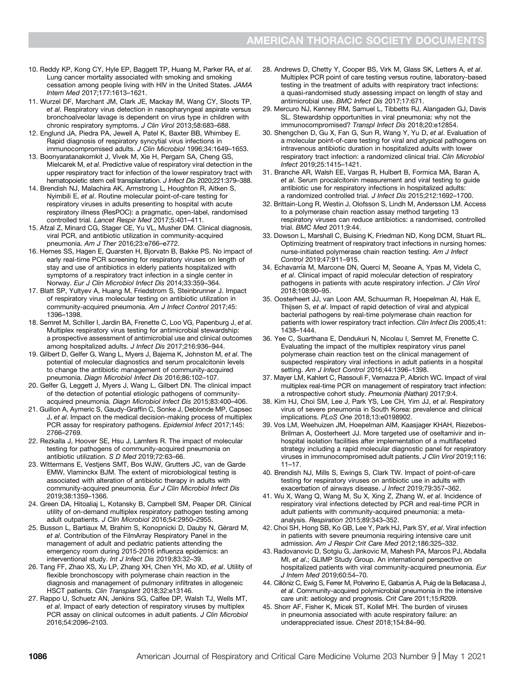- 10. Reddy KP, Kong CY, Hyle EP, Baggett TP, Huang M, Parker RA, et al. Lung cancer mortality associated with smoking and smoking cessation among people living with HIV in the United States. JAMA Intern Med 2017;177:1613–1621.
- 11. Wurzel DF, Marchant JM, Clark JE, Mackay IM, Wang CY, Sloots TP, et al. Respiratory virus detection in nasopharyngeal aspirate versus bronchoalveolar lavage is dependent on virus type in children with chronic respiratory symptoms. J Clin Virol 2013;58:683–688.
- 12. Englund JA, Piedra PA, Jewell A, Patel K, Baxter BB, Whimbey E. Rapid diagnosis of respiratory syncytial virus infections in immunocompromised adults. J Clin Microbiol 1996;34:1649–1653.
- 13. Boonyaratanakornkit J, Vivek M, Xie H, Pergam SA, Cheng GS, Mielcarek M, et al. Predictive value of respiratory viral detection in the upper respiratory tract for infection of the lower respiratory tract with hematopoietic stem cell transplantation. J Infect Dis 2020;221:379–388.
- 14. Brendish NJ, Malachira AK, Armstrong L, Houghton R, Aitken S, Nyimbili E, et al. Routine molecular point-of-care testing for respiratory viruses in adults presenting to hospital with acute respiratory illness (ResPOC): a pragmatic, open-label, randomised controlled trial. Lancet Respir Med 2017;5:401–411.
- 15. Afzal Z, Minard CG, Stager CE, Yu VL, Musher DM. Clinical diagnosis, viral PCR, and antibiotic utilization in community-acquired pneumonia. Am J Ther 2016;23:e766–e772.
- 16. Hernes SS, Hagen E, Quarsten H, Bjorvatn B, Bakke PS. No impact of early real-time PCR screening for respiratory viruses on length of stay and use of antibiotics in elderly patients hospitalized with symptoms of a respiratory tract infection in a single center in Norway. Eur J Clin Microbiol Infect Dis 2014;33:359–364.
- 17. Blatt SP, Yultyev A, Huang M, Friedstrom S, Steinbrunner J. Impact of respiratory virus molecular testing on antibiotic utilization in community-acquired pneumonia. Am J Infect Control 2017;45: 1396–1398.
- 18. Semret M, Schiller I, Jardin BA, Frenette C, Loo VG, Papenburg J, et al. Multiplex respiratory virus testing for antimicrobial stewardship: a prospective assessment of antimicrobial use and clinical outcomes among hospitalized adults. J Infect Dis 2017;216:936–944.
- 19. Gilbert D, Gelfer G, Wang L, Myers J, Bajema K, Johnston M, et al. The potential of molecular diagnostics and serum procalcitonin levels to change the antibiotic management of community-acquired pneumonia. Diagn Microbiol Infect Dis 2016;86:102–107.
- 20. Gelfer G, Leggett J, Myers J, Wang L, Gilbert DN. The clinical impact of the detection of potential etiologic pathogens of communityacquired pneumonia. Diagn Microbiol Infect Dis 2015;83:400–406.
- 21. Guillon A, Aymeric S, Gaudy-Graffin C, Sonke J, Deblonde MP, Capsec J, et al. Impact on the medical decision-making process of multiplex PCR assay for respiratory pathogens. Epidemiol Infect 2017;145: 2766–2769.
- 22. Rezkalla J, Hoover SE, Hsu J, Lamfers R. The impact of molecular testing for pathogens of community-acquired pneumonia on antibiotic utilization. S D Med 2019;72:63–66.
- 23. Wittermans E, Vestjens SMT, Bos WJW, Grutters JC, van de Garde EMW, Vlaminckx BJM. The extent of microbiological testing is associated with alteration of antibiotic therapy in adults with community-acquired pneumonia. Eur J Clin Microbiol Infect Dis 2019;38:1359–1366.
- 24. Green DA, Hitoaliaj L, Kotansky B, Campbell SM, Peaper DR. Clinical utility of on-demand multiplex respiratory pathogen testing among adult outpatients. J Clin Microbiol 2016;54:2950–2955.
- 25. Busson L, Bartiaux M, Brahim S, Konopnicki D, Dauby N, Gérard M, et al. Contribution of the FilmArray Respiratory Panel in the management of adult and pediatric patients attending the emergency room during 2015-2016 influenza epidemics: an interventional study. Int J Infect Dis 2019;83:32–39.
- 26. Tang FF, Zhao XS, Xu LP, Zhang XH, Chen YH, Mo XD, et al. Utility of flexible bronchoscopy with polymerase chain reaction in the diagnosis and management of pulmonary infiltrates in allogeneic HSCT patients. Clin Transplant 2018;32:e13146.
- 27. Rappo U, Schuetz AN, Jenkins SG, Calfee DP, Walsh TJ, Wells MT, et al. Impact of early detection of respiratory viruses by multiplex PCR assay on clinical outcomes in adult patients. J Clin Microbiol 2016;54:2096–2103.
- 28. Andrews D, Chetty Y, Cooper BS, Virk M, Glass SK, Letters A, et al. Multiplex PCR point of care testing versus routine, laboratory-based testing in the treatment of adults with respiratory tract infections: a quasi-randomised study assessing impact on length of stay and antimicrobial use. BMC Infect Dis 2017;17:671.
- 29. Mercuro NJ, Kenney RM, Samuel L, Tibbetts RJ, Alangaden GJ, Davis SL. Stewardship opportunities in viral pneumonia: why not the immunocompromised? Transpl Infect Dis 2018;20:e12854.
- 30. Shengchen D, Gu X, Fan G, Sun R, Wang Y, Yu D, et al. Evaluation of a molecular point-of-care testing for viral and atypical pathogens on intravenous antibiotic duration in hospitalized adults with lower respiratory tract infection: a randomized clinical trial. Clin Microbiol Infect 2019;25:1415–1421.
- 31. Branche AR, Walsh EE, Vargas R, Hulbert B, Formica MA, Baran A, et al. Serum procalcitonin measurement and viral testing to guide antibiotic use for respiratory infections in hospitalized adults: a randomized controlled trial. J Infect Dis 2015;212:1692–1700.
- 32. Brittain-Long R, Westin J, Olofsson S, Lindh M, Andersson LM. Access to a polymerase chain reaction assay method targeting 13 respiratory viruses can reduce antibiotics: a randomised, controlled trial. BMC Med 2011;9:44.
- 33. Dowson L, Marshall C, Buising K, Friedman ND, Kong DCM, Stuart RL. Optimizing treatment of respiratory tract infections in nursing homes: nurse-initiated polymerase chain reaction testing. Am J Infect Control 2019;47:911–915.
- 34. Echavarría M, Marcone DN, Querci M, Seoane A, Ypas M, Videla C, et al. Clinical impact of rapid molecular detection of respiratory pathogens in patients with acute respiratory infection. J Clin Virol 2018;108:90–95.
- 35. Oosterheert JJ, van Loon AM, Schuurman R, Hoepelman AI, Hak E, Thijsen S, et al. Impact of rapid detection of viral and atypical bacterial pathogens by real-time polymerase chain reaction for patients with lower respiratory tract infection. Clin Infect Dis 2005;41: 1438–1444.
- 36. Yee C, Suarthana E, Dendukuri N, Nicolau I, Semret M, Frenette C. Evaluating the impact of the multiplex respiratory virus panel polymerase chain reaction test on the clinical management of suspected respiratory viral infections in adult patients in a hospital setting. Am J Infect Control 2016;44:1396–1398.
- 37. Mayer LM, Kahlert C, Rassouli F, Vernazza P, Albrich WC. Impact of viral multiplex real-time PCR on management of respiratory tract infection: a retrospective cohort study. Pneumonia (Nathan) 2017;9:4.
- 38. Kim HJ, Choi SM, Lee J, Park YS, Lee CH, Yim JJ, et al. Respiratory virus of severe pneumonia in South Korea: prevalence and clinical implications. PLoS One 2018;13:e0198902.
- 39. Vos LM, Weehuizen JM, Hoepelman AIM, Kaasjager KHAH, Riezebos-Brilman A, Oosterheert JJ. More targeted use of oseltamivir and inhospital isolation facilities after implementation of a multifaceted strategy including a rapid molecular diagnostic panel for respiratory viruses in immunocompromised adult patients. J Clin Virol 2019;116: 11–17.
- 40. Brendish NJ, Mills S, Ewings S, Clark TW. Impact of point-of-care testing for respiratory viruses on antibiotic use in adults with exacerbation of airways disease. J Infect 2019;79:357–362.
- 41. Wu X, Wang Q, Wang M, Su X, Xing Z, Zhang W, et al. Incidence of respiratory viral infections detected by PCR and real-time PCR in adult patients with community-acquired pneumonia: a metaanalysis. Respiration 2015;89:343–352.
- 42. Choi SH, Hong SB, Ko GB, Lee Y, Park HJ, Park SY, et al. Viral infection in patients with severe pneumonia requiring intensive care unit admission. Am J Respir Crit Care Med 2012;186:325–332.
- 43. Radovanovic D, Sotgiu G, Jankovic M, Mahesh PA, Marcos PJ, Abdalla MI, et al.; GLIMP Study Group. An international perspective on hospitalized patients with viral community-acquired pneumonia. Eur J Intern Med 2019;60:54–70.
- 44. Cillóniz C, Ewig S, Ferrer M, Polverino E, Gabarrús A, Puig de la Bellacasa J, et al. Community-acquired polymicrobial pneumonia in the intensive care unit: aetiology and prognosis. Crit Care 2011;15:R209.
- 45. Shorr AF, Fisher K, Micek ST, Kollef MH. The burden of viruses in pneumonia associated with acute respiratory failure: an underappreciated issue. Chest 2018;154:84–90.